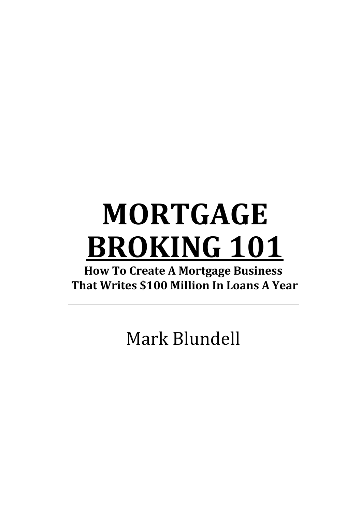# **MORTGAGE BROKING 101**

**How To Create A Mortgage Business That Writes \$100 Million In Loans A Year** 

Mark Blundell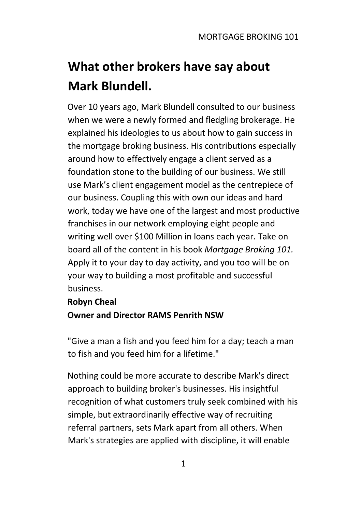## **What other brokers have say about Mark Blundell.**

Over 10 years ago, Mark Blundell consulted to our business when we were a newly formed and fledgling brokerage. He explained his ideologies to us about how to gain success in the mortgage broking business. His contributions especially around how to effectively engage a client served as a foundation stone to the building of our business. We still use Mark's client engagement model as the centrepiece of our business. Coupling this with own our ideas and hard work, today we have one of the largest and most productive franchises in our network employing eight people and writing well over \$100 Million in loans each year. Take on board all of the content in his book *Mortgage Broking 101.*  Apply it to your day to day activity, and you too will be on your way to building a most profitable and successful business.

### **Robyn Cheal**

### **Owner and Director RAMS Penrith NSW**

"Give a man a fish and you feed him for a day; teach a man to fish and you feed him for a lifetime."

Nothing could be more accurate to describe Mark's direct approach to building broker's businesses. His insightful recognition of what customers truly seek combined with his simple, but extraordinarily effective way of recruiting referral partners, sets Mark apart from all others. When Mark's strategies are applied with discipline, it will enable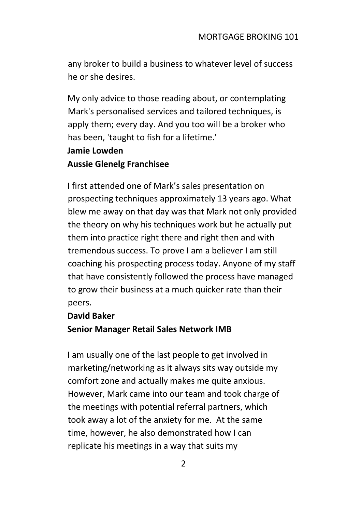any broker to build a business to whatever level of success he or she desires.

My only advice to those reading about, or contemplating Mark's personalised services and tailored techniques, is apply them; every day. And you too will be a broker who has been, 'taught to fish for a lifetime.'

#### **Jamie Lowden**

#### **Aussie Glenelg Franchisee**

I first attended one of Mark's sales presentation on prospecting techniques approximately 13 years ago. What blew me away on that day was that Mark not only provided the theory on why his techniques work but he actually put them into practice right there and right then and with tremendous success. To prove I am a believer I am still coaching his prospecting process today. Anyone of my staff that have consistently followed the process have managed to grow their business at a much quicker rate than their peers.

#### **David Baker**

#### **Senior Manager Retail Sales Network IMB**

I am usually one of the last people to get involved in marketing/networking as it always sits way outside my comfort zone and actually makes me quite anxious. However, Mark came into our team and took charge of the meetings with potential referral partners, which took away a lot of the anxiety for me. At the same time, however, he also demonstrated how I can replicate his meetings in a way that suits my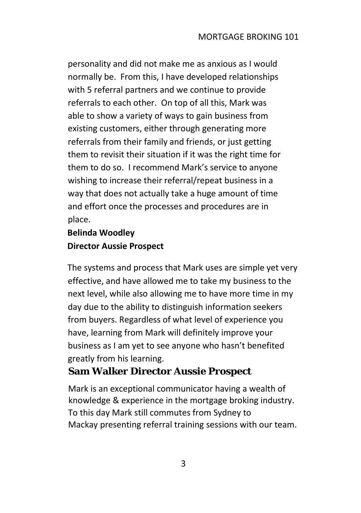personality and did not make me as anxious as I would normally be. From this, I have developed relationships with 5 referral partners and we continue to provide referrals to each other. On top of all this, Mark was able to show a variety of ways to gain business from existing customers, either through generating more referrals from their family and friends, or just getting them to revisit their situation if it was the right time for them to do so. I recommend Mark's service to anyone wishing to increase their referral/repeat business in a way that does not actually take a huge amount of time and effort once the processes and procedures are in place.

### **Belinda Woodley Director Aussie Prospect**

The systems and process that Mark uses are simple yet very effective, and have allowed me to take my business to the next level, while also allowing me to have more time in my day due to the ability to distinguish information seekers from buyers. Regardless of what level of experience you have, learning from Mark will definitely improve your business as I am yet to see anyone who hasn't benefited greatly from his learning.

### **Sam Walker Director Aussie Prospect**

Mark is an exceptional communicator having a wealth of knowledge & experience in the mortgage broking industry. To this day Mark still commutes from Sydney to Mackay presenting referral training sessions with our team.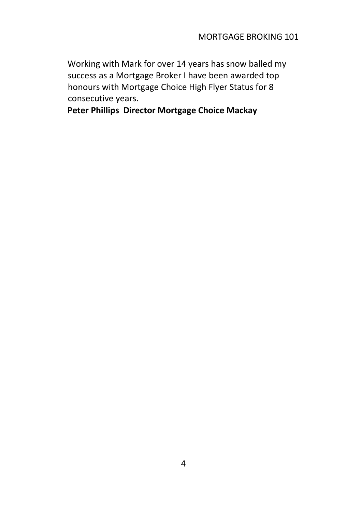Working with Mark for over 14 years has snow balled my success as a Mortgage Broker I have been awarded top honours with Mortgage Choice High Flyer Status for 8 consecutive years.

**Peter Phillips Director Mortgage Choice Mackay**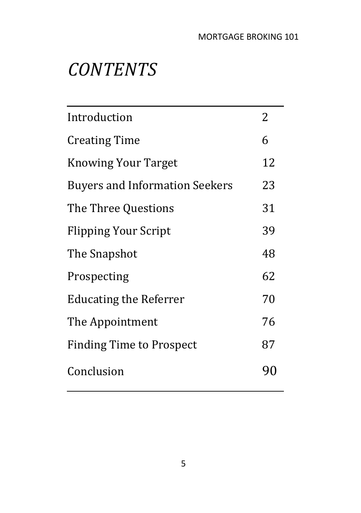## *CONTENTS*

| Introduction                          | 2  |
|---------------------------------------|----|
| <b>Creating Time</b>                  | 6  |
| <b>Knowing Your Target</b>            | 12 |
| <b>Buyers and Information Seekers</b> | 23 |
| The Three Questions                   | 31 |
| <b>Flipping Your Script</b>           | 39 |
| The Snapshot                          | 48 |
| Prospecting                           | 62 |
| <b>Educating the Referrer</b>         | 70 |
| The Appointment                       | 76 |
| <b>Finding Time to Prospect</b>       | 87 |
| Conclusion                            | 90 |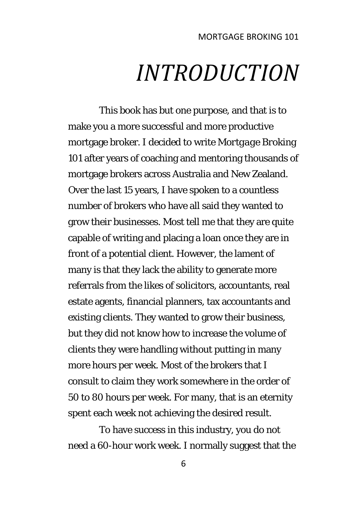## *INTRODUCTION*

This book has but one purpose, and that is to make you a more successful and more productive mortgage broker. I decided to write *Mortgage Broking*  101 after years of coaching and mentoring thousands of mortgage brokers across Australia and New Zealand. Over the last 15 years, I have spoken to a countless number of brokers who have all said they wanted to grow their businesses. Most tell me that they are quite capable of writing and placing a loan once they are in front of a potential client. However, the lament of many is that they lack the ability to generate more referrals from the likes of solicitors, accountants, real estate agents, financial planners, tax accountants and existing clients. They wanted to grow their business, but they did not know how to increase the volume of clients they were handling without putting in many more hours per week. Most of the brokers that I consult to claim they work somewhere in the order of 50 to 80 hours per week. For many, that is an eternity spent each week not achieving the desired result.

To have success in this industry, you do not need a 60-hour work week. I normally suggest that the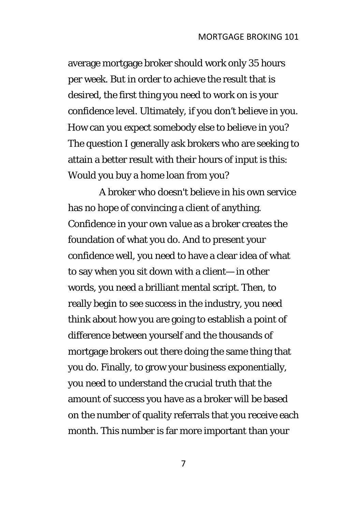average mortgage broker should work only 35 hours per week. But in order to achieve the result that is desired, the first thing you need to work on is your confidence level. Ultimately, if you don't believe in you. How can you expect somebody else to believe in you? The question I generally ask brokers who are seeking to attain a better result with their hours of input is this: Would you buy a home loan from you?

A broker who doesn't believe in his own service has no hope of convincing a client of anything. Confidence in your own value as a broker creates the foundation of what you do. And to present your confidence well, you need to have a clear idea of what to say when you sit down with a client— in other words, you need a brilliant mental script. Then, to really begin to see success in the industry, you need think about how you are going to establish a point of difference between yourself and the thousands of mortgage brokers out there doing the same thing that you do. Finally, to grow your business exponentially, you need to understand the crucial truth that the amount of success you have as a broker will be based on the number of quality referrals that you receive each month. This number is far more important than your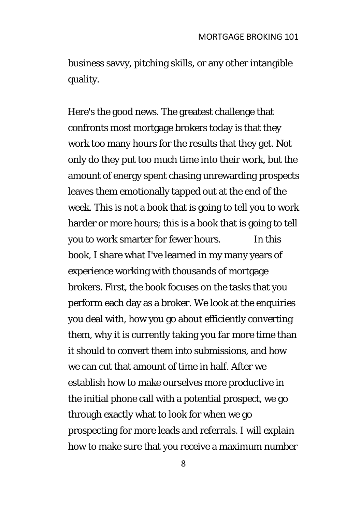business savvy, pitching skills, or any other intangible quality.

Here's the good news. The greatest challenge that confronts most mortgage brokers today is that they work too many hours for the results that they get. Not only do they put too much time into their work, but the amount of energy spent chasing unrewarding prospects leaves them emotionally tapped out at the end of the week. This is not a book that is going to tell you to work harder or more hours; this is a book that is going to tell you to work smarter for fewer hours. In this book, I share what I've learned in my many years of experience working with thousands of mortgage brokers. First, the book focuses on the tasks that you perform each day as a broker. We look at the enquiries you deal with, how you go about efficiently converting them, why it is currently taking you far more time than it should to convert them into submissions, and how we can cut that amount of time in half. After we establish how to make ourselves more productive in the initial phone call with a potential prospect, we go through exactly what to look for when we go prospecting for more leads and referrals. I will explain how to make sure that you receive a maximum number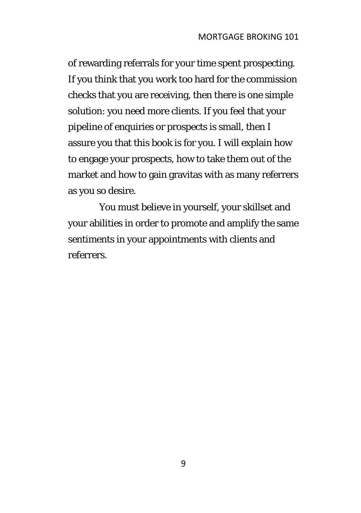of rewarding referrals for your time spent prospecting. If you think that you work too hard for the commission checks that you are receiving, then there is one simple solution: you need more clients. If you feel that your pipeline of enquiries or prospects is small, then I assure you that this book is for you. I will explain how to engage your prospects, how to take them out of the market and how to gain gravitas with as many referrers as you so desire.

You must believe in yourself, your skillset and your abilities in order to promote and amplify the same sentiments in your appointments with clients and referrers.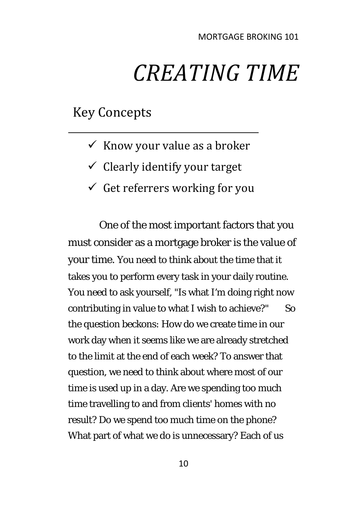# *CREATING TIME*

### Key Concepts

- $\checkmark$  Know your value as a broker
- $\checkmark$  Clearly identify your target
- $\checkmark$  Get referrers working for you

One of the most important factors that you must consider as a mortgage broker is the value of your time. You need to think about the time that it takes you to perform every task in your daily routine. You need to ask yourself, "Is what I'm doing right now contributing in value to what I wish to achieve?" So the question beckons: How do we create time in our work day when it seems like we are already stretched to the limit at the end of each week? To answer that question, we need to think about where most of our time is used up in a day. Are we spending too much time travelling to and from clients' homes with no result? Do we spend too much time on the phone? What part of what we do is unnecessary? Each of us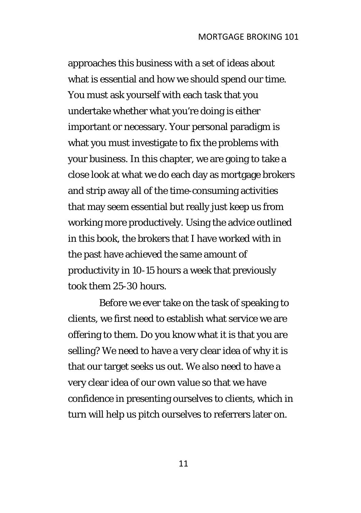approaches this business with a set of ideas about what is essential and how we should spend our time. You must ask yourself with each task that you undertake whether what you're doing is either important or necessary. Your personal paradigm is what you must investigate to fix the problems with your business. In this chapter, we are going to take a close look at what we do each day as mortgage brokers and strip away all of the time-consuming activities that may seem essential but really just keep us from working more productively. Using the advice outlined in this book, the brokers that I have worked with in the past have achieved the same amount of productivity in 10-15 hours a week that previously took them 25-30 hours.

Before we ever take on the task of speaking to clients, we first need to establish what service we are offering to them. Do you know what it is that you are selling? We need to have a very clear idea of why it is that our target seeks us out. We also need to have a very clear idea of our own value so that we have confidence in presenting ourselves to clients, which in turn will help us pitch ourselves to referrers later on.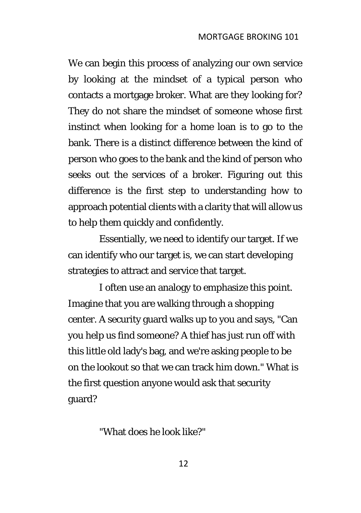We can begin this process of analyzing our own service by looking at the mindset of a typical person who contacts a mortgage broker. What are they looking for? They do not share the mindset of someone whose first instinct when looking for a home loan is to go to the bank. There is a distinct difference between the kind of person who goes to the bank and the kind of person who seeks out the services of a broker. Figuring out this difference is the first step to understanding how to approach potential clients with a clarity that will allow us to help them quickly and confidently.

Essentially, we need to identify our target. If we can identify who our target is, we can start developing strategies to attract and service that target.

I often use an analogy to emphasize this point. Imagine that you are walking through a shopping center. A security guard walks up to you and says, "Can you help us find someone? A thief has just run off with this little old lady's bag, and we're asking people to be on the lookout so that we can track him down." What is the first question anyone would ask that security guard?

"What does he look like?"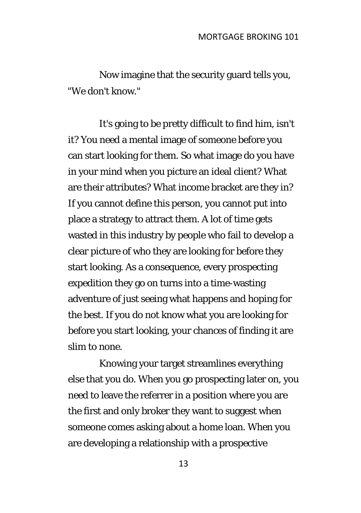Now imagine that the security guard tells you, "We don't know."

It's going to be pretty difficult to find him, isn't it? You need a mental image of someone before you can start looking for them. So what image do you have in your mind when you picture an ideal client? What are their attributes? What income bracket are they in? If you cannot define this person, you cannot put into place a strategy to attract them. A lot of time gets wasted in this industry by people who fail to develop a clear picture of who they are looking for before they start looking. As a consequence, every prospecting expedition they go on turns into a time-wasting adventure of just seeing what happens and hoping for the best. If you do not know what you are looking for before you start looking, your chances of finding it are slim to none.

Knowing your target streamlines everything else that you do. When you go prospecting later on, you need to leave the referrer in a position where you are the first and only broker they want to suggest when someone comes asking about a home loan. When you are developing a relationship with a prospective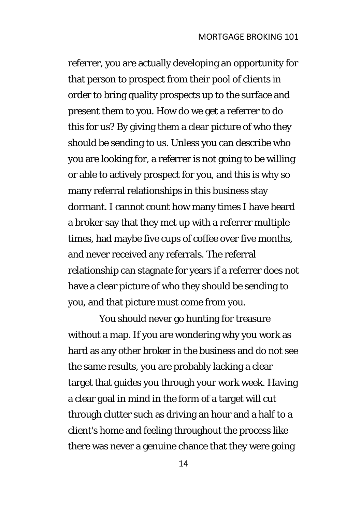referrer, you are actually developing an opportunity for that person to prospect from their pool of clients in order to bring quality prospects up to the surface and present them to you. How do we get a referrer to do this for us? By giving them a clear picture of who they should be sending to us. Unless you can describe who you are looking for, a referrer is not going to be willing or able to actively prospect for you, and this is why so many referral relationships in this business stay dormant. I cannot count how many times I have heard a broker say that they met up with a referrer multiple times, had maybe five cups of coffee over five months, and never received any referrals. The referral relationship can stagnate for years if a referrer does not have a clear picture of who they should be sending to you, and that picture must come from you.

You should never go hunting for treasure without a map. If you are wondering why you work as hard as any other broker in the business and do not see the same results, you are probably lacking a clear target that guides you through your work week. Having a clear goal in mind in the form of a target will cut through clutter such as driving an hour and a half to a client's home and feeling throughout the process like there was never a genuine chance that they were going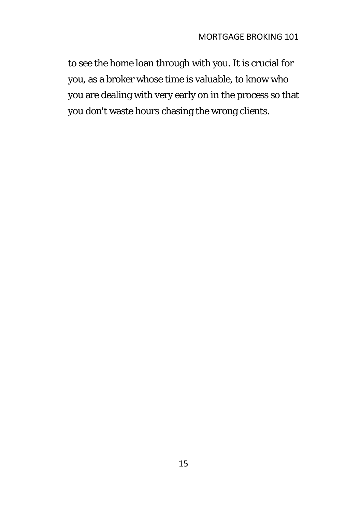to see the home loan through with you. It is crucial for you, as a broker whose time is valuable, to know who you are dealing with very early on in the process so that you don't waste hours chasing the wrong clients.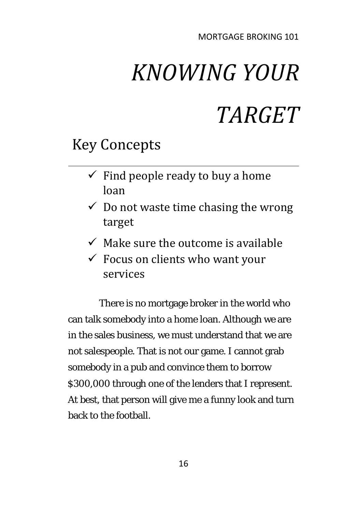# *KNOWING YOUR TARGET*

### Key Concepts

- $\checkmark$  Find people ready to buy a home loan
- $\checkmark$  Do not waste time chasing the wrong target
- $\checkmark$  Make sure the outcome is available
- $\checkmark$  Focus on clients who want your services

There is no mortgage broker in the world who can talk somebody into a home loan. Although we are in the sales business, we must understand that we are not salespeople. That is not our game. I cannot grab somebody in a pub and convince them to borrow \$300,000 through one of the lenders that I represent. At best, that person will give me a funny look and turn back to the football.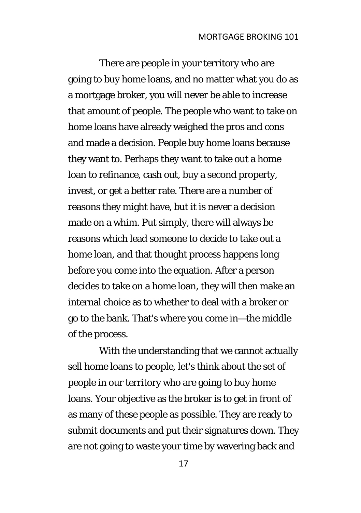There are people in your territory who are going to buy home loans, and no matter what you do as a mortgage broker, you will never be able to increase that amount of people. The people who want to take on home loans have already weighed the pros and cons and made a decision. People buy home loans because they want to. Perhaps they want to take out a home loan to refinance, cash out, buy a second property, invest, or get a better rate. There are a number of reasons they might have, but it is never a decision made on a whim. Put simply, there will always be reasons which lead someone to decide to take out a home loan, and that thought process happens long before you come into the equation. After a person decides to take on a home loan, they will then make an internal choice as to whether to deal with a broker or go to the bank. That's where you come in—the middle of the process.

With the understanding that we cannot actually sell home loans to people, let's think about the set of people in our territory who are going to buy home loans. Your objective as the broker is to get in front of as many of these people as possible. They are ready to submit documents and put their signatures down. They are not going to waste your time by wavering back and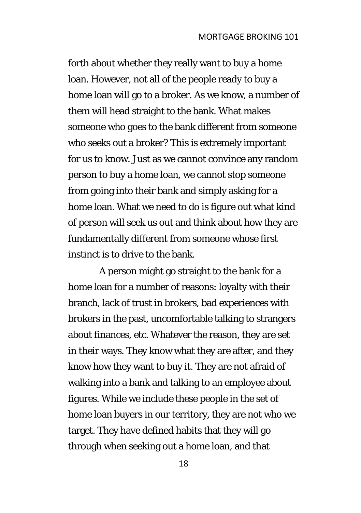forth about whether they really want to buy a home loan. However, not all of the people ready to buy a home loan will go to a broker. As we know, a number of them will head straight to the bank. What makes someone who goes to the bank different from someone who seeks out a broker? This is extremely important for us to know. Just as we cannot convince any random person to buy a home loan, we cannot stop someone from going into their bank and simply asking for a home loan. What we need to do is figure out what kind of person will seek us out and think about how they are fundamentally different from someone whose first instinct is to drive to the bank.

A person might go straight to the bank for a home loan for a number of reasons: loyalty with their branch, lack of trust in brokers, bad experiences with brokers in the past, uncomfortable talking to strangers about finances, etc. Whatever the reason, they are set in their ways. They know what they are after, and they know how they want to buy it. They are not afraid of walking into a bank and talking to an employee about figures. While we include these people in the set of home loan buyers in our territory, they are not who we target. They have defined habits that they will go through when seeking out a home loan, and that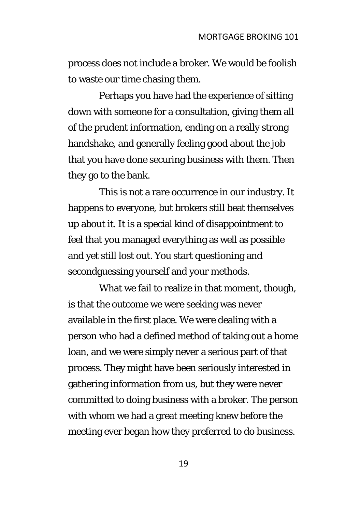process does not include a broker. We would be foolish to waste our time chasing them.

Perhaps you have had the experience of sitting down with someone for a consultation, giving them all of the prudent information, ending on a really strong handshake, and generally feeling good about the job that you have done securing business with them. Then they go to the bank.

This is not a rare occurrence in our industry. It happens to everyone, but brokers still beat themselves up about it. It is a special kind of disappointment to feel that you managed everything as well as possible and yet still lost out. You start questioning and secondguessing yourself and your methods.

What we fail to realize in that moment, though, is that the outcome we were seeking was never available in the first place. We were dealing with a person who had a defined method of taking out a home loan, and we were simply never a serious part of that process. They might have been seriously interested in gathering information from us, but they were never committed to doing business with a broker. The person with whom we had a great meeting knew before the meeting ever began how they preferred to do business.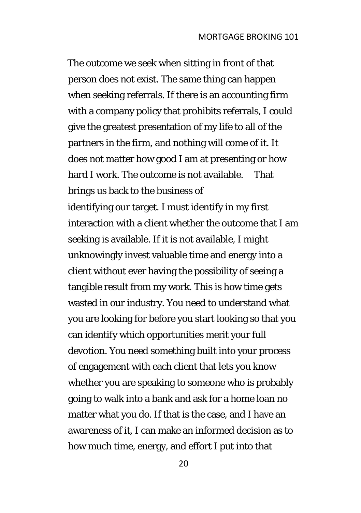The outcome we seek when sitting in front of that person does not exist. The same thing can happen when seeking referrals. If there is an accounting firm with a company policy that prohibits referrals, I could give the greatest presentation of my life to all of the partners in the firm, and nothing will come of it. It does not matter how good I am at presenting or how hard I work. The outcome is not available. That brings us back to the business of

identifying our target. I must identify in my first interaction with a client whether the outcome that I am seeking is available. If it is not available, I might unknowingly invest valuable time and energy into a client without ever having the possibility of seeing a tangible result from my work. This is how time gets wasted in our industry. You need to understand what you are looking for before you start looking so that you can identify which opportunities merit your full devotion. You need something built into your process of engagement with each client that lets you know whether you are speaking to someone who is probably going to walk into a bank and ask for a home loan no matter what you do. If that is the case, and I have an awareness of it, I can make an informed decision as to how much time, energy, and effort I put into that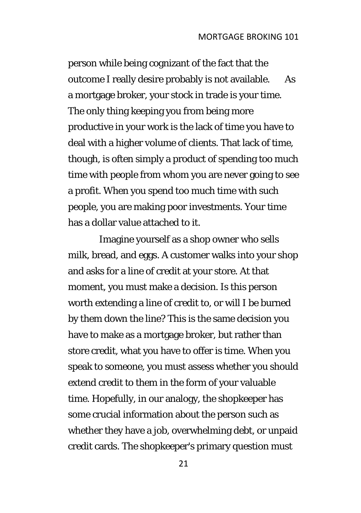person while being cognizant of the fact that the outcome I really desire probably is not available. As a mortgage broker, your stock in trade is your time. The only thing keeping you from being more productive in your work is the lack of time you have to deal with a higher volume of clients. That lack of time, though, is often simply a product of spending too much time with people from whom you are never going to see a profit. When you spend too much time with such people, you are making poor investments. Your time has a dollar value attached to it.

Imagine yourself as a shop owner who sells milk, bread, and eggs. A customer walks into your shop and asks for a line of credit at your store. At that moment, you must make a decision. Is this person worth extending a line of credit to, or will I be burned by them down the line? This is the same decision you have to make as a mortgage broker, but rather than store credit, what you have to offer is time. When you speak to someone, you must assess whether you should extend credit to them in the form of your valuable time. Hopefully, in our analogy, the shopkeeper has some crucial information about the person such as whether they have a job, overwhelming debt, or unpaid credit cards. The shopkeeper's primary question must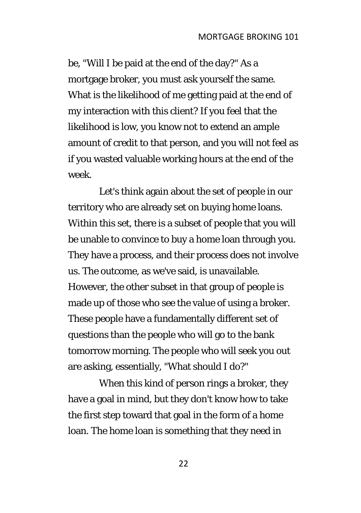be, "Will I be paid at the end of the day?" As a mortgage broker, you must ask yourself the same. What is the likelihood of me getting paid at the end of my interaction with this client? If you feel that the likelihood is low, you know not to extend an ample amount of credit to that person, and you will not feel as if you wasted valuable working hours at the end of the week.

Let's think again about the set of people in our territory who are already set on buying home loans. Within this set, there is a subset of people that you will be unable to convince to buy a home loan through you. They have a process, and their process does not involve us. The outcome, as we've said, is unavailable. However, the other subset in that group of people is made up of those who see the value of using a broker. These people have a fundamentally different set of questions than the people who will go to the bank tomorrow morning. The people who will seek you out are asking, essentially, "What should I do?"

When this kind of person rings a broker, they have a goal in mind, but they don't know how to take the first step toward that goal in the form of a home loan. The home loan is something that they need in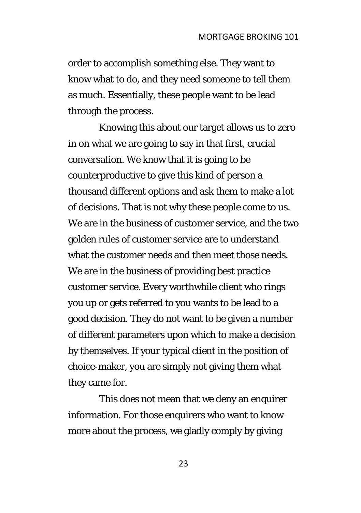order to accomplish something else. They want to know what to do, and they need someone to tell them as much. Essentially, these people want to be lead through the process.

Knowing this about our target allows us to zero in on what we are going to say in that first, crucial conversation. We know that it is going to be counterproductive to give this kind of person a thousand different options and ask them to make a lot of decisions. That is not why these people come to us. We are in the business of customer service, and the two golden rules of customer service are to understand what the customer needs and then meet those needs. We are in the business of providing best practice customer service. Every worthwhile client who rings you up or gets referred to you wants to be lead to a good decision. They do not want to be given a number of different parameters upon which to make a decision by themselves. If your typical client in the position of choice-maker, you are simply not giving them what they came for.

This does not mean that we deny an enquirer information. For those enquirers who want to know more about the process, we gladly comply by giving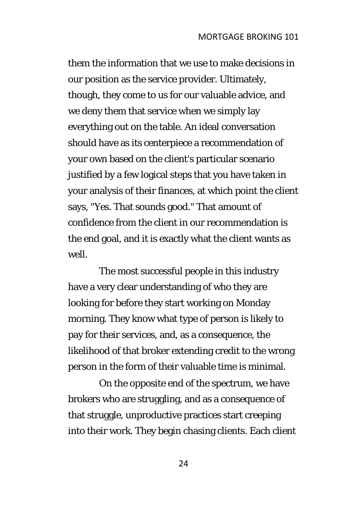them the information that we use to make decisions in our position as the service provider. Ultimately, though, they come to us for our valuable advice, and we deny them that service when we simply lay everything out on the table. An ideal conversation should have as its centerpiece a recommendation of your own based on the client's particular scenario justified by a few logical steps that you have taken in your analysis of their finances, at which point the client says, "Yes. That sounds good." That amount of confidence from the client in our recommendation is the end goal, and it is exactly what the client wants as well.

The most successful people in this industry have a very clear understanding of who they are looking for before they start working on Monday morning. They know what type of person is likely to pay for their services, and, as a consequence, the likelihood of that broker extending credit to the wrong person in the form of their valuable time is minimal.

On the opposite end of the spectrum, we have brokers who are struggling, and as a consequence of that struggle, unproductive practices start creeping into their work. They begin chasing clients. Each client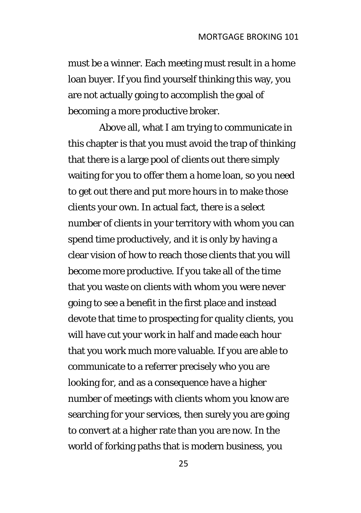must be a winner. Each meeting must result in a home loan buyer. If you find yourself thinking this way, you are not actually going to accomplish the goal of becoming a more productive broker.

Above all, what I am trying to communicate in this chapter is that you must avoid the trap of thinking that there is a large pool of clients out there simply waiting for you to offer them a home loan, so you need to get out there and put more hours in to make those clients your own. In actual fact, there is a select number of clients in your territory with whom you can spend time productively, and it is only by having a clear vision of how to reach those clients that you will become more productive. If you take all of the time that you waste on clients with whom you were never going to see a benefit in the first place and instead devote that time to prospecting for quality clients, you will have cut your work in half and made each hour that you work much more valuable. If you are able to communicate to a referrer precisely who you are looking for, and as a consequence have a higher number of meetings with clients whom you know are searching for your services, then surely you are going to convert at a higher rate than you are now. In the world of forking paths that is modern business, you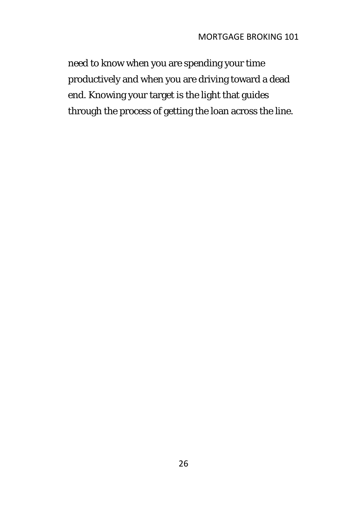need to know when you are spending your time productively and when you are driving toward a dead end. Knowing your target is the light that guides through the process of getting the loan across the line.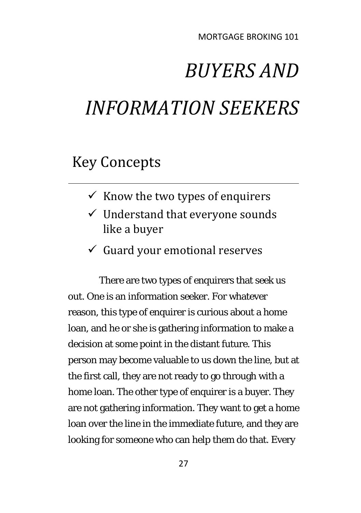# *BUYERS AND INFORMATION SEEKERS*

### Key Concepts

- $\checkmark$  Know the two types of enquirers
- $\checkmark$  Understand that everyone sounds like a buyer
- $\checkmark$  Guard your emotional reserves

There are two types of enquirers that seek us out. One is an information seeker. For whatever reason, this type of enquirer is curious about a home loan, and he or she is gathering information to make a decision at some point in the distant future. This person may become valuable to us down the line, but at the first call, they are not ready to go through with a home loan. The other type of enquirer is a buyer. They are not gathering information. They want to get a home loan over the line in the immediate future, and they are looking for someone who can help them do that. Every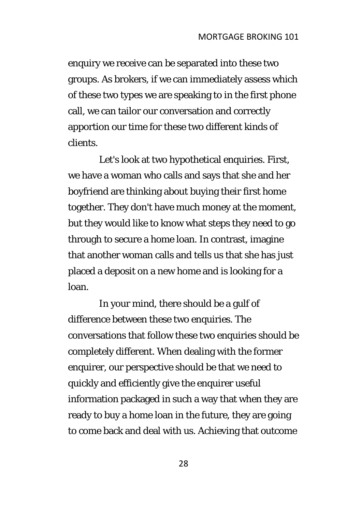enquiry we receive can be separated into these two groups. As brokers, if we can immediately assess which of these two types we are speaking to in the first phone call, we can tailor our conversation and correctly apportion our time for these two different kinds of clients.

Let's look at two hypothetical enquiries. First, we have a woman who calls and says that she and her boyfriend are thinking about buying their first home together. They don't have much money at the moment, but they would like to know what steps they need to go through to secure a home loan. In contrast, imagine that another woman calls and tells us that she has just placed a deposit on a new home and is looking for a loan.

In your mind, there should be a gulf of difference between these two enquiries. The conversations that follow these two enquiries should be completely different. When dealing with the former enquirer, our perspective should be that we need to quickly and efficiently give the enquirer useful information packaged in such a way that when they are ready to buy a home loan in the future, they are going to come back and deal with us. Achieving that outcome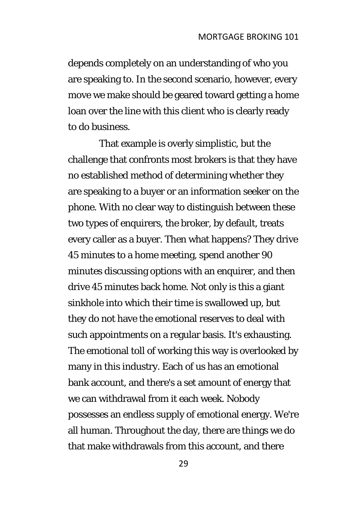depends completely on an understanding of who you are speaking to. In the second scenario, however, every move we make should be geared toward getting a home loan over the line with this client who is clearly ready to do business.

That example is overly simplistic, but the challenge that confronts most brokers is that they have no established method of determining whether they are speaking to a buyer or an information seeker on the phone. With no clear way to distinguish between these two types of enquirers, the broker, by default, treats every caller as a buyer. Then what happens? They drive 45 minutes to a home meeting, spend another 90 minutes discussing options with an enquirer, and then drive 45 minutes back home. Not only is this a giant sinkhole into which their time is swallowed up, but they do not have the emotional reserves to deal with such appointments on a regular basis. It's exhausting. The emotional toll of working this way is overlooked by many in this industry. Each of us has an emotional bank account, and there's a set amount of energy that we can withdrawal from it each week. Nobody possesses an endless supply of emotional energy. We're all human. Throughout the day, there are things we do that make withdrawals from this account, and there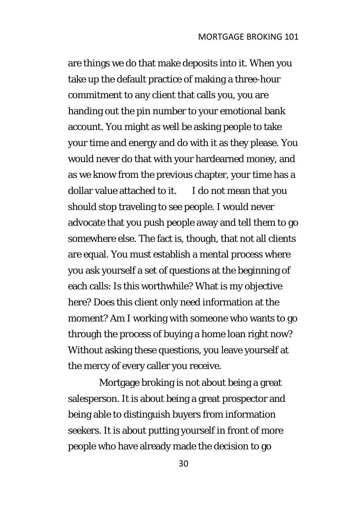are things we do that make deposits into it. When you take up the default practice of making a three-hour commitment to any client that calls you, you are handing out the pin number to your emotional bank account. You might as well be asking people to take your time and energy and do with it as they please. You would never do that with your hardearned money, and as we know from the previous chapter, your time has a dollar value attached to it. I do not mean that you should stop traveling to see people. I would never advocate that you push people away and tell them to go somewhere else. The fact is, though, that not all clients are equal. You must establish a mental process where you ask yourself a set of questions at the beginning of each calls: Is this worthwhile? What is my objective here? Does this client only need information at the moment? Am I working with someone who wants to go through the process of buying a home loan right now? Without asking these questions, you leave yourself at the mercy of every caller you receive.

Mortgage broking is not about being a great salesperson. It is about being a great prospector and being able to distinguish buyers from information seekers. It is about putting yourself in front of more people who have already made the decision to go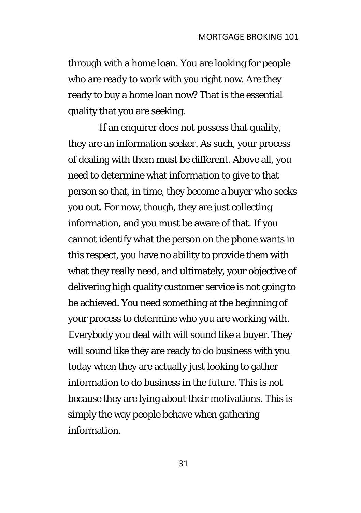through with a home loan. You are looking for people who are ready to work with you right now. Are they ready to buy a home loan now? That is the essential quality that you are seeking.

If an enquirer does not possess that quality, they are an information seeker. As such, your process of dealing with them must be different. Above all, you need to determine what information to give to that person so that, in time, they become a buyer who seeks you out. For now, though, they are just collecting information, and you must be aware of that. If you cannot identify what the person on the phone wants in this respect, you have no ability to provide them with what they really need, and ultimately, your objective of delivering high quality customer service is not going to be achieved. You need something at the beginning of your process to determine who you are working with. Everybody you deal with will sound like a buyer. They will sound like they are ready to do business with you today when they are actually just looking to gather information to do business in the future. This is not because they are lying about their motivations. This is simply the way people behave when gathering information.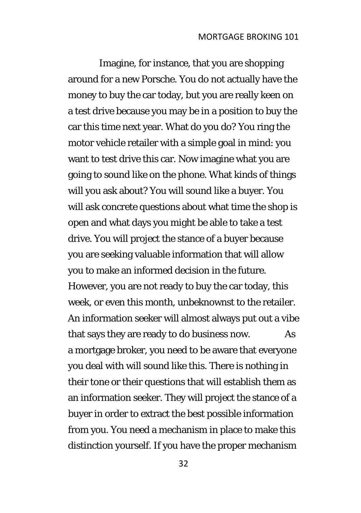Imagine, for instance, that you are shopping around for a new Porsche. You do not actually have the money to buy the car today, but you are really keen on a test drive because you may be in a position to buy the car this time next year. What do you do? You ring the motor vehicle retailer with a simple goal in mind: you want to test drive this car. Now imagine what you are going to sound like on the phone. What kinds of things will you ask about? You will sound like a buyer. You will ask concrete questions about what time the shop is open and what days you might be able to take a test drive. You will project the stance of a buyer because you are seeking valuable information that will allow you to make an informed decision in the future. However, you are not ready to buy the car today, this week, or even this month, unbeknownst to the retailer. An information seeker will almost always put out a vibe that says they are ready to do business now. As a mortgage broker, you need to be aware that everyone you deal with will sound like this. There is nothing in their tone or their questions that will establish them as an information seeker. They will project the stance of a buyer in order to extract the best possible information from you. You need a mechanism in place to make this distinction yourself. If you have the proper mechanism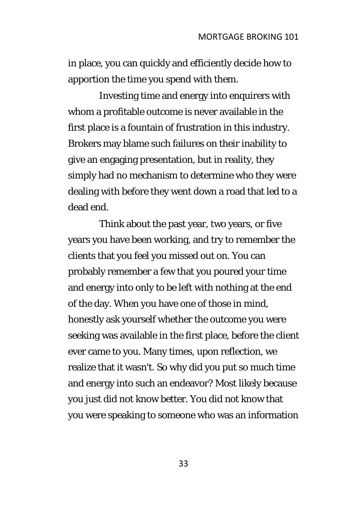in place, you can quickly and efficiently decide how to apportion the time you spend with them.

Investing time and energy into enquirers with whom a profitable outcome is never available in the first place is a fountain of frustration in this industry. Brokers may blame such failures on their inability to give an engaging presentation, but in reality, they simply had no mechanism to determine who they were dealing with before they went down a road that led to a dead end.

Think about the past year, two years, or five years you have been working, and try to remember the clients that you feel you missed out on. You can probably remember a few that you poured your time and energy into only to be left with nothing at the end of the day. When you have one of those in mind, honestly ask yourself whether the outcome you were seeking was available in the first place, before the client ever came to you. Many times, upon reflection, we realize that it wasn't. So why did you put so much time and energy into such an endeavor? Most likely because you just did not know better. You did not know that you were speaking to someone who was an information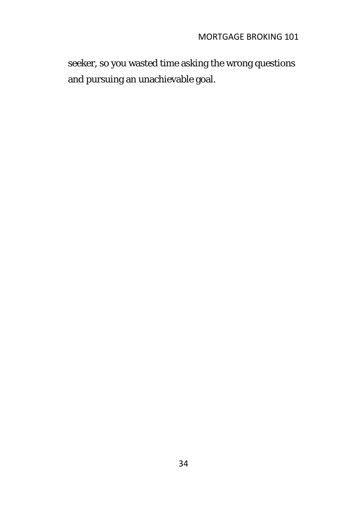seeker, so you wasted time asking the wrong questions and pursuing an unachievable goal.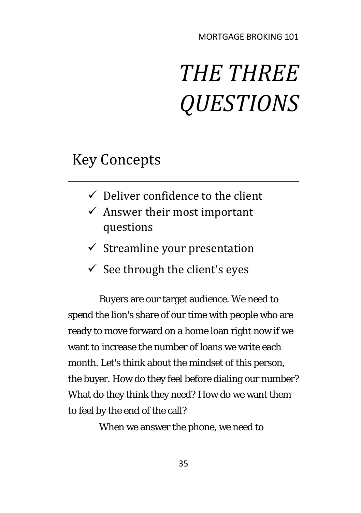# *THE THREE QUESTIONS*

### Key Concepts

- $\checkmark$  Deliver confidence to the client
- $\checkmark$  Answer their most important questions
- $\checkmark$  Streamline your presentation
- $\checkmark$  See through the client's eyes

Buyers are our target audience. We need to spend the lion's share of our time with people who are ready to move forward on a home loan right now if we want to increase the number of loans we write each month. Let's think about the mindset of this person, the buyer. How do they feel before dialing our number? What do they think they need? How do we want them to feel by the end of the call?

When we answer the phone, we need to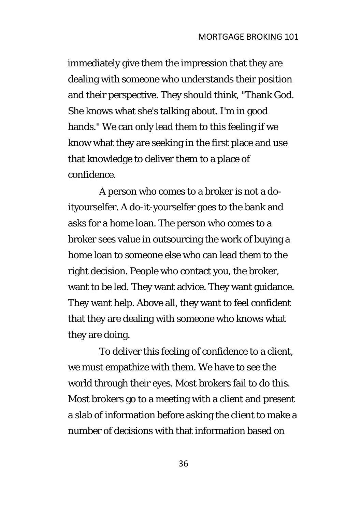immediately give them the impression that they are dealing with someone who understands their position and their perspective. They should think, "Thank God. She knows what she's talking about. I'm in good hands." We can only lead them to this feeling if we know what they are seeking in the first place and use that knowledge to deliver them to a place of confidence.

A person who comes to a broker is not a doityourselfer. A do-it-yourselfer goes to the bank and asks for a home loan. The person who comes to a broker sees value in outsourcing the work of buying a home loan to someone else who can lead them to the right decision. People who contact you, the broker, want to be led. They want advice. They want guidance. They want help. Above all, they want to feel confident that they are dealing with someone who knows what they are doing.

To deliver this feeling of confidence to a client, we must empathize with them. We have to see the world through their eyes. Most brokers fail to do this. Most brokers go to a meeting with a client and present a slab of information before asking the client to make a number of decisions with that information based on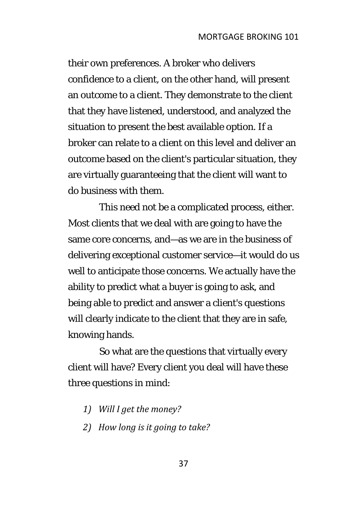their own preferences. A broker who delivers confidence to a client, on the other hand, will present an outcome to a client. They demonstrate to the client that they have listened, understood, and analyzed the situation to present the best available option. If a broker can relate to a client on this level and deliver an outcome based on the client's particular situation, they are virtually guaranteeing that the client will want to do business with them.

This need not be a complicated process, either. Most clients that we deal with are going to have the same core concerns, and—as we are in the business of delivering exceptional customer service—it would do us well to anticipate those concerns. We actually have the ability to predict what a buyer is going to ask, and being able to predict and answer a client's questions will clearly indicate to the client that they are in safe, knowing hands.

So what are the questions that virtually every client will have? Every client you deal will have these three questions in mind:

- *1) Will I get the money?*
- *2) How long is it going to take?*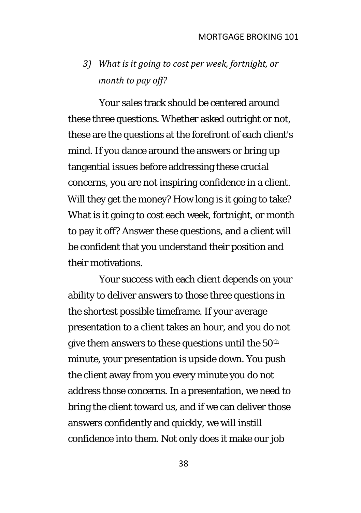### *3) What is it going to cost per week, fortnight, or month to pay off?*

Your sales track should be centered around these three questions. Whether asked outright or not, these are the questions at the forefront of each client's mind. If you dance around the answers or bring up tangential issues before addressing these crucial concerns, you are not inspiring confidence in a client. Will they get the money? How long is it going to take? What is it going to cost each week, fortnight, or month to pay it off? Answer these questions, and a client will be confident that you understand their position and their motivations.

Your success with each client depends on your ability to deliver answers to those three questions in the shortest possible timeframe. If your average presentation to a client takes an hour, and you do not give them answers to these questions until the 50th minute, your presentation is upside down. You push the client away from you every minute you do not address those concerns. In a presentation, we need to bring the client toward us, and if we can deliver those answers confidently and quickly, we will instill confidence into them. Not only does it make our job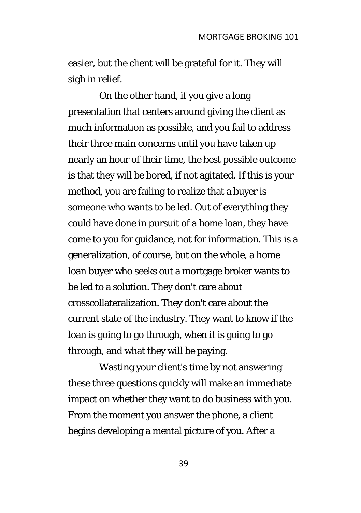easier, but the client will be grateful for it. They will sigh in relief.

On the other hand, if you give a long presentation that centers around giving the client as much information as possible, and you fail to address their three main concerns until you have taken up nearly an hour of their time, the best possible outcome is that they will be bored, if not agitated. If this is your method, you are failing to realize that a buyer is someone who wants to be led. Out of everything they could have done in pursuit of a home loan, they have come to you for guidance, not for information. This is a generalization, of course, but on the whole, a home loan buyer who seeks out a mortgage broker wants to be led to a solution. They don't care about crosscollateralization. They don't care about the current state of the industry. They want to know if the loan is going to go through, when it is going to go through, and what they will be paying.

Wasting your client's time by not answering these three questions quickly will make an immediate impact on whether they want to do business with you. From the moment you answer the phone, a client begins developing a mental picture of you. After a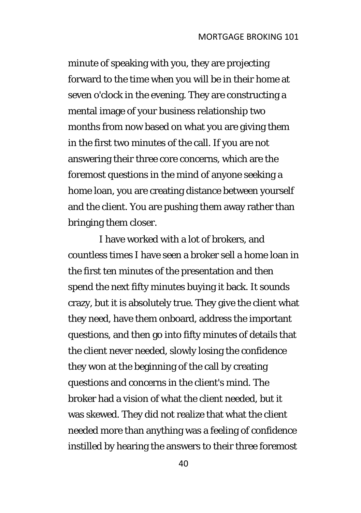minute of speaking with you, they are projecting forward to the time when you will be in their home at seven o'clock in the evening. They are constructing a mental image of your business relationship two months from now based on what you are giving them in the first two minutes of the call. If you are not answering their three core concerns, which are the foremost questions in the mind of anyone seeking a home loan, you are creating distance between yourself and the client. You are pushing them away rather than bringing them closer.

I have worked with a lot of brokers, and countless times I have seen a broker sell a home loan in the first ten minutes of the presentation and then spend the next fifty minutes buying it back. It sounds crazy, but it is absolutely true. They give the client what they need, have them onboard, address the important questions, and then go into fifty minutes of details that the client never needed, slowly losing the confidence they won at the beginning of the call by creating questions and concerns in the client's mind. The broker had a vision of what the client needed, but it was skewed. They did not realize that what the client needed more than anything was a feeling of confidence instilled by hearing the answers to their three foremost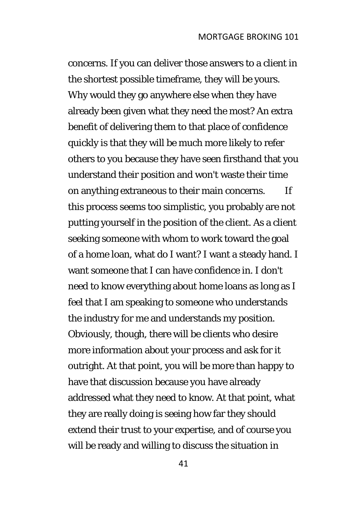concerns. If you can deliver those answers to a client in the shortest possible timeframe, they will be yours. Why would they go anywhere else when they have already been given what they need the most? An extra benefit of delivering them to that place of confidence quickly is that they will be much more likely to refer others to you because they have seen firsthand that you understand their position and won't waste their time on anything extraneous to their main concerns. If this process seems too simplistic, you probably are not putting yourself in the position of the client. As a client seeking someone with whom to work toward the goal of a home loan, what do I want? I want a steady hand. I want someone that I can have confidence in. I don't need to know everything about home loans as long as I feel that I am speaking to someone who understands the industry for me and understands my position. Obviously, though, there will be clients who desire more information about your process and ask for it outright. At that point, you will be more than happy to have that discussion because you have already addressed what they need to know. At that point, what they are really doing is seeing how far they should extend their trust to your expertise, and of course you will be ready and willing to discuss the situation in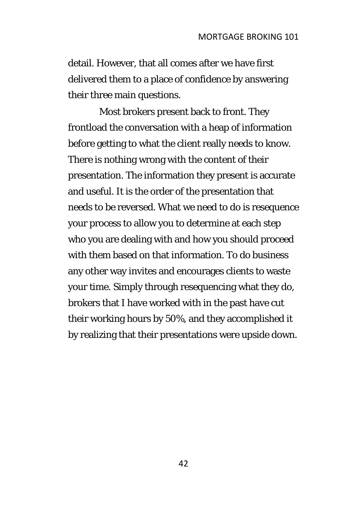detail. However, that all comes after we have first delivered them to a place of confidence by answering their three main questions.

Most brokers present back to front. They frontload the conversation with a heap of information before getting to what the client really needs to know. There is nothing wrong with the content of their presentation. The information they present is accurate and useful. It is the order of the presentation that needs to be reversed. What we need to do is resequence your process to allow you to determine at each step who you are dealing with and how you should proceed with them based on that information. To do business any other way invites and encourages clients to waste your time. Simply through resequencing what they do, brokers that I have worked with in the past have cut their working hours by 50%, and they accomplished it by realizing that their presentations were upside down.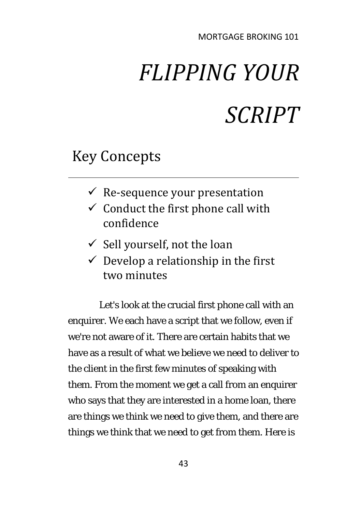# *FLIPPING YOUR SCRIPT*

### Key Concepts

- $\checkmark$  Re-sequence your presentation
- $\checkmark$  Conduct the first phone call with confidence
- $\checkmark$  Sell yourself, not the loan
- $\checkmark$  Develop a relationship in the first two minutes

Let's look at the crucial first phone call with an enquirer. We each have a script that we follow, even if we're not aware of it. There are certain habits that we have as a result of what we believe we need to deliver to the client in the first few minutes of speaking with them. From the moment we get a call from an enquirer who says that they are interested in a home loan, there are things we think we need to give them, and there are things we think that we need to get from them. Here is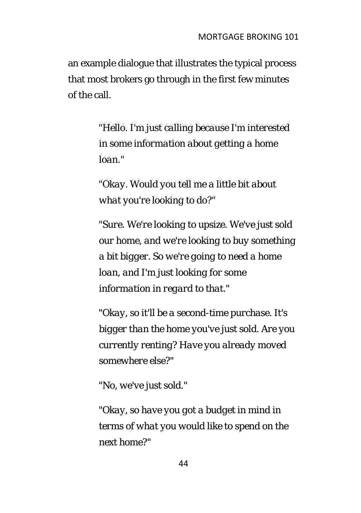an example dialogue that illustrates the typical process that most brokers go through in the first few minutes of the call.

> *"Hello. I'm just calling because I'm interested in some information about getting a home loan."*

*"Okay. Would you tell me a little bit about what you're looking to do?"* 

*"Sure. We're looking to upsize. We've just sold our home, and we're looking to buy something a bit bigger. So we're going to need a home loan, and I'm just looking for some information in regard to that."* 

*"Okay, so it'll be a second-time purchase. It's bigger than the home you've just sold. Are you currently renting? Have you already moved somewhere else?"* 

*"No, we've just sold."* 

*"Okay, so have you got a budget in mind in terms of what you would like to spend on the next home?"*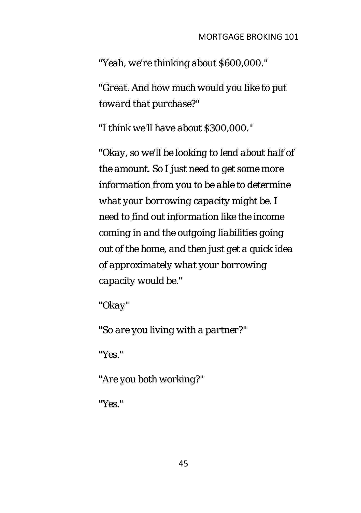*"Yeah, we're thinking about \$600,000."* 

*"Great. And how much would you like to put toward that purchase?"* 

*"I think we'll have about \$300,000."* 

*"Okay, so we'll be looking to lend about half of the amount. So I just need to get some more information from you to be able to determine what your borrowing capacity might be. I need to find out information like the income coming in and the outgoing liabilities going out of the home, and then just get a quick idea of approximately what your borrowing capacity would be."* 

*"Okay"* 

*"So are you living with a partner?"* 

*"Yes."* 

*"Are you both working?"* 

*"Yes."*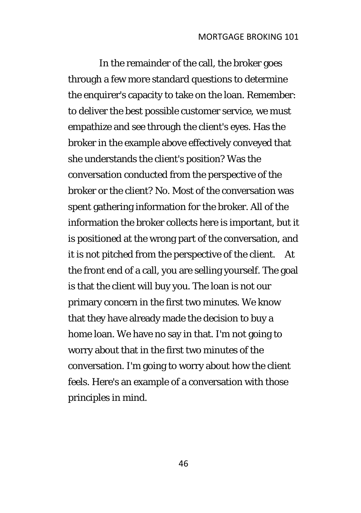In the remainder of the call, the broker goes through a few more standard questions to determine the enquirer's capacity to take on the loan. Remember: to deliver the best possible customer service, we must empathize and see through the client's eyes. Has the broker in the example above effectively conveyed that she understands the client's position? Was the conversation conducted from the perspective of the broker or the client? No. Most of the conversation was spent gathering information for the broker. All of the information the broker collects here is important, but it is positioned at the wrong part of the conversation, and it is not pitched from the perspective of the client. At the front end of a call, you are selling yourself. The goal is that the client will buy you. The loan is not our primary concern in the first two minutes. We know that they have already made the decision to buy a home loan. We have no say in that. I'm not going to worry about that in the first two minutes of the conversation. I'm going to worry about how the client feels. Here's an example of a conversation with those principles in mind.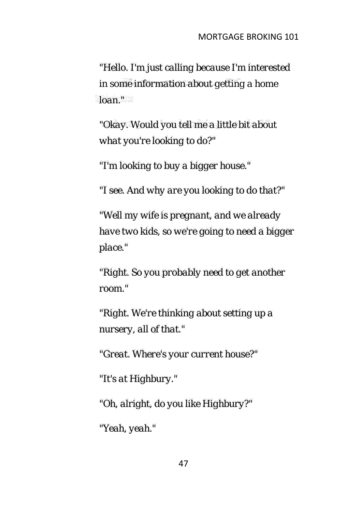*"Hello. I'm just calling because I'm interested in some information about getting a home loan."*

*"Okay. Would you tell me a little bit about what you're looking to do?"*

*"I'm looking to buy a bigger house."*

*"I see. And why are you looking to do that?"*

*"Well my wife is pregnant, and we already have two kids, so we're going to need a bigger place."*

*"Right. So you probably need to get another room."*

*"Right. We're thinking about setting up a nursery, all of that."*

*"Great. Where's your current house?"*

*"It's at Highbury."*

*"Oh, alright, do you like Highbury?"*

*"Yeah, yeah."*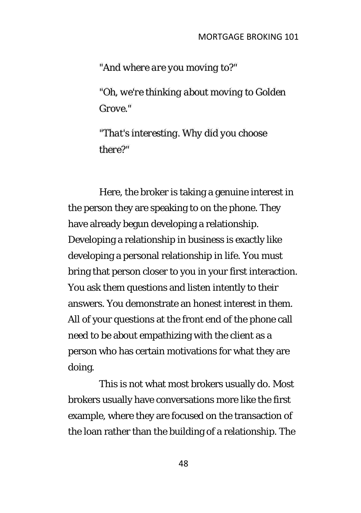*"And where are you moving to?"*

*"Oh, we're thinking about moving to Golden Grove."*

*"That's interesting. Why did you choose there?"*

Here, the broker is taking a genuine interest in the person they are speaking to on the phone. They have already begun developing a relationship. Developing a relationship in business is exactly like developing a personal relationship in life. You must bring that person closer to you in your first interaction. You ask them questions and listen intently to their answers. You demonstrate an honest interest in them. All of your questions at the front end of the phone call need to be about empathizing with the client as a person who has certain motivations for what they are doing.

This is not what most brokers usually do. Most brokers usually have conversations more like the first example, where they are focused on the transaction of the loan rather than the building of a relationship. The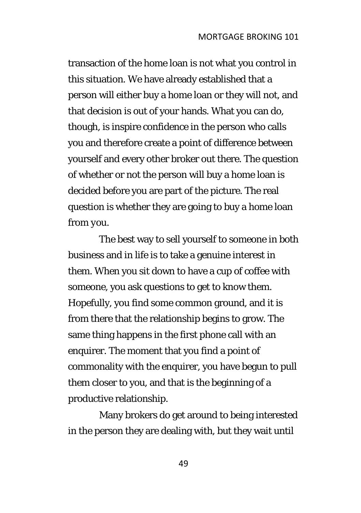transaction of the home loan is not what you control in this situation. We have already established that a person will either buy a home loan or they will not, and that decision is out of your hands. What you can do, though, is inspire confidence in the person who calls you and therefore create a point of difference between yourself and every other broker out there. The question of whether or not the person will buy a home loan is decided before you are part of the picture. The real question is whether they are going to buy a home loan from *you*.

The best way to sell yourself to someone in both business and in life is to take a genuine interest in them. When you sit down to have a cup of coffee with someone, you ask questions to get to know them. Hopefully, you find some common ground, and it is from there that the relationship begins to grow. The same thing happens in the first phone call with an enquirer. The moment that you find a point of commonality with the enquirer, you have begun to pull them closer to you, and that is the beginning of a productive relationship.

Many brokers do get around to being interested in the person they are dealing with, but they wait until

49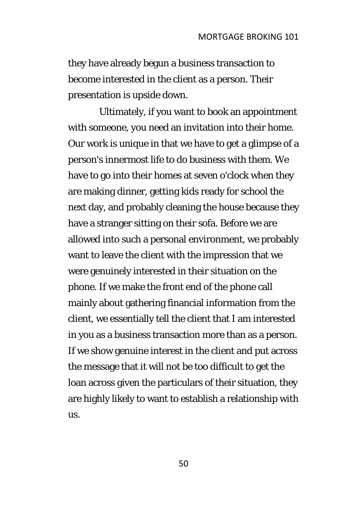they have already begun a business transaction to become interested in the client as a person. Their presentation is upside down.

Ultimately, if you want to book an appointment with someone, you need an invitation into their home. Our work is unique in that we have to get a glimpse of a person's innermost life to do business with them. We have to go into their homes at seven o'clock when they are making dinner, getting kids ready for school the next day, and probably cleaning the house because they have a stranger sitting on their sofa. Before we are allowed into such a personal environment, we probably want to leave the client with the impression that we were genuinely interested in their situation on the phone. If we make the front end of the phone call mainly about gathering financial information from the client, we essentially tell the client that I am interested in you as a business transaction more than as a person. If we show genuine interest in the client and put across the message that it will not be too difficult to get the loan across given the particulars of their situation, they are highly likely to want to establish a relationship with us.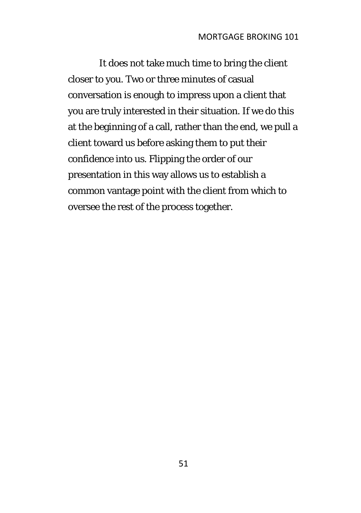It does not take much time to bring the client closer to you. Two or three minutes of casual conversation is enough to impress upon a client that you are truly interested in their situation. If we do this at the beginning of a call, rather than the end, we pull a client toward us before asking them to put their confidence into us. Flipping the order of our presentation in this way allows us to establish a common vantage point with the client from which to oversee the rest of the process together.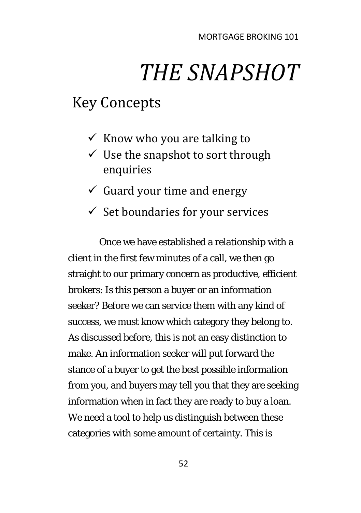## *THE SNAPSHOT*

## Key Concepts

- $\checkmark$  Know who you are talking to
- $\checkmark$  Use the snapshot to sort through enquiries
- $\checkmark$  Guard your time and energy
- $\checkmark$  Set boundaries for your services

Once we have established a relationship with a client in the first few minutes of a call, we then go straight to our primary concern as productive, efficient brokers: Is this person a buyer or an information seeker? Before we can service them with any kind of success, we must know which category they belong to. As discussed before, this is not an easy distinction to make. An information seeker will put forward the stance of a buyer to get the best possible information from you, and buyers may tell you that they are seeking information when in fact they are ready to buy a loan. We need a tool to help us distinguish between these categories with some amount of certainty. This is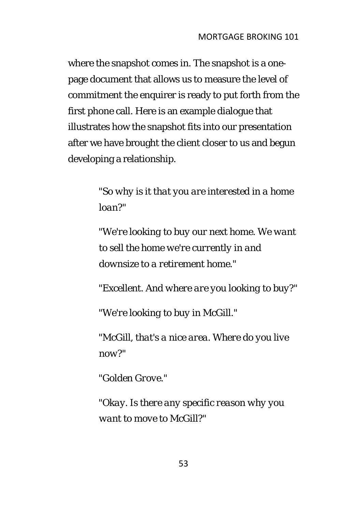where the snapshot comes in. The snapshot is a onepage document that allows us to measure the level of commitment the enquirer is ready to put forth from the first phone call. Here is an example dialogue that illustrates how the snapshot fits into our presentation after we have brought the client closer to us and begun developing a relationship.

> *"So why is it that you are interested in a home loan?"*

*"We're looking to buy our next home. We want to sell the home we're currently in and downsize to a retirement home."* 

*"Excellent. And where are you looking to buy?"* 

*"We're looking to buy in McGill."* 

*"McGill, that's a nice area. Where do you live now?"* 

*"Golden Grove."* 

*"Okay. Is there any specific reason why you want to move to McGill?"*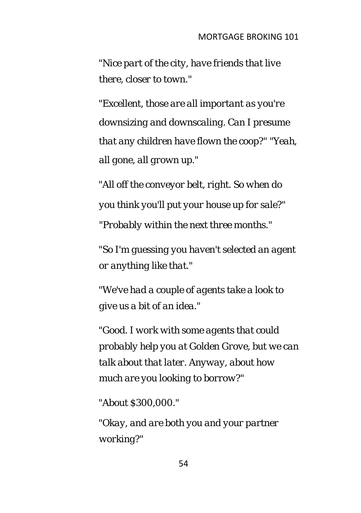*"Nice part of the city, have friends that live there, closer to town."* 

*"Excellent, those are all important as you're downsizing and downscaling. Can I presume that any children have flown the coop?" "Yeah, all gone, all grown up."* 

*"All off the conveyor belt, right. So when do you think you'll put your house up for sale?" "Probably within the next three months."* 

*"So I'm guessing you haven't selected an agent or anything like that."* 

*"We've had a couple of agents take a look to give us a bit of an idea."* 

*"Good. I work with some agents that could probably help you at Golden Grove, but we can talk about that later. Anyway, about how much are you looking to borrow?"* 

*"About \$300,000."* 

*"Okay, and are both you and your partner working?"*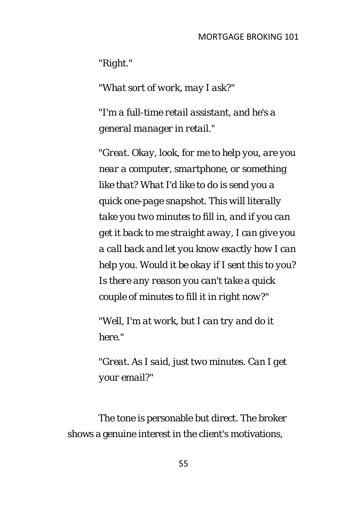*"Right."* 

*"What sort of work, may I ask?"* 

*"I'm a full-time retail assistant, and he's a general manager in retail."* 

*"Great. Okay, look, for me to help you, are you near a computer, smartphone, or something like that? What I'd like to do is send you a quick one-page snapshot. This will literally take you two minutes to fill in, and if you can get it back to me straight away, I can give you a call back and let you know exactly how I can help you. Would it be okay if I sent this to you? Is there any reason you can't take a quick couple of minutes to fill it in right now?"* 

*"Well, I'm at work, but I can try and do it here."* 

*"Great. As I said, just two minutes. Can I get your email?"* 

The tone is personable but direct. The broker shows a genuine interest in the client's motivations,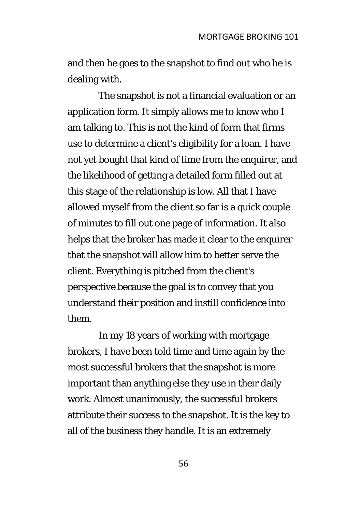and then he goes to the snapshot to find out who he is dealing with.

The snapshot is not a financial evaluation or an application form. It simply allows me to know who I am talking to. This is not the kind of form that firms use to determine a client's eligibility for a loan. I have not yet bought that kind of time from the enquirer, and the likelihood of getting a detailed form filled out at this stage of the relationship is low. All that I have allowed myself from the client so far is a quick couple of minutes to fill out one page of information. It also helps that the broker has made it clear to the enquirer that the snapshot will allow him to better serve the client. Everything is pitched from the client's perspective because the goal is to convey that you understand their position and instill confidence into them.

In my 18 years of working with mortgage brokers, I have been told time and time again by the most successful brokers that the snapshot is more important than anything else they use in their daily work. Almost unanimously, the successful brokers attribute their success to the snapshot. It is the key to all of the business they handle. It is an extremely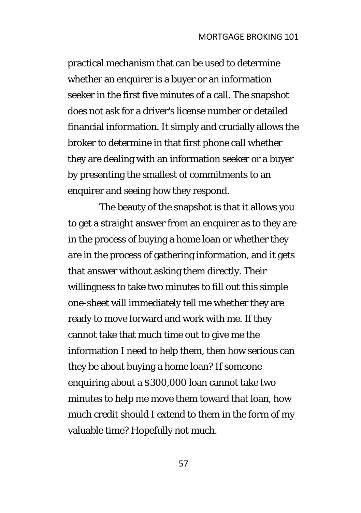practical mechanism that can be used to determine whether an enquirer is a buyer or an information seeker in the first five minutes of a call. The snapshot does not ask for a driver's license number or detailed financial information. It simply and crucially allows the broker to determine in that first phone call whether they are dealing with an information seeker or a buyer by presenting the smallest of commitments to an enquirer and seeing how they respond.

The beauty of the snapshot is that it allows you to get a straight answer from an enquirer as to they are in the process of buying a home loan or whether they are in the process of gathering information, and it gets that answer without asking them directly. Their willingness to take two minutes to fill out this simple one-sheet will immediately tell me whether they are ready to move forward and work with me. If they cannot take that much time out to give me the information I need to help them, then how serious can they be about buying a home loan? If someone enquiring about a \$300,000 loan cannot take two minutes to help me move them toward that loan, how much credit should I extend to them in the form of my valuable time? Hopefully not much.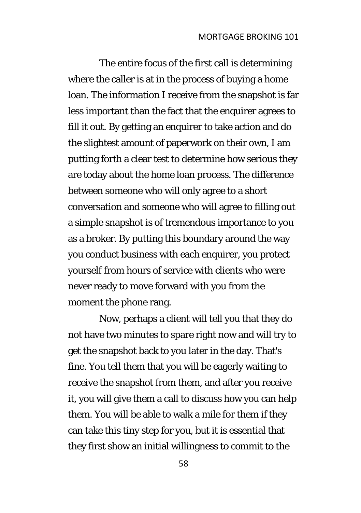The entire focus of the first call is determining where the caller is at in the process of buying a home loan. The information I receive from the snapshot is far less important than the fact that the enquirer agrees to fill it out. By getting an enquirer to take action and do the slightest amount of paperwork on their own, I am putting forth a clear test to determine how serious they are today about the home loan process. The difference between someone who will only agree to a short conversation and someone who will agree to filling out a simple snapshot is of tremendous importance to you as a broker. By putting this boundary around the way you conduct business with each enquirer, you protect yourself from hours of service with clients who were never ready to move forward with you from the moment the phone rang.

Now, perhaps a client will tell you that they do not have two minutes to spare right now and will try to get the snapshot back to you later in the day. That's fine. You tell them that you will be eagerly waiting to receive the snapshot from them, and after you receive it, you will give them a call to discuss how you can help them. You will be able to walk a mile for them if they can take this tiny step for you, but it is essential that they first show an initial willingness to commit to the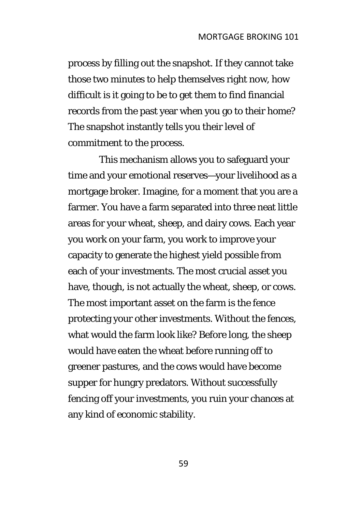process by filling out the snapshot. If they cannot take those two minutes to help themselves right now, how difficult is it going to be to get them to find financial records from the past year when you go to their home? The snapshot instantly tells you their level of commitment to the process.

This mechanism allows you to safeguard your time and your emotional reserves—your livelihood as a mortgage broker. Imagine, for a moment that you are a farmer. You have a farm separated into three neat little areas for your wheat, sheep, and dairy cows. Each year you work on your farm, you work to improve your capacity to generate the highest yield possible from each of your investments. The most crucial asset you have, though, is not actually the wheat, sheep, or cows. The most important asset on the farm is the fence protecting your other investments. Without the fences, what would the farm look like? Before long, the sheep would have eaten the wheat before running off to greener pastures, and the cows would have become supper for hungry predators. Without successfully fencing off your investments, you ruin your chances at any kind of economic stability.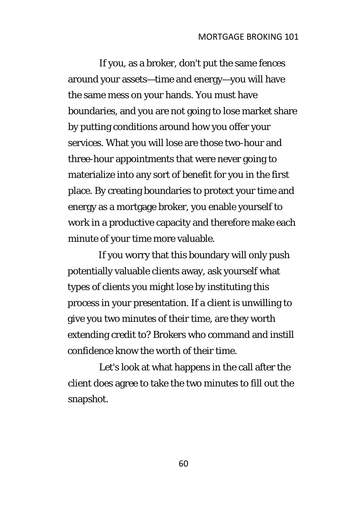If you, as a broker, don't put the same fences around your assets—time and energy—you will have the same mess on your hands. You must have boundaries, and you are not going to lose market share by putting conditions around how you offer your services. What you will lose are those two-hour and three-hour appointments that were never going to materialize into any sort of benefit for you in the first place. By creating boundaries to protect your time and energy as a mortgage broker, you enable yourself to work in a productive capacity and therefore make each minute of your time more valuable.

If you worry that this boundary will only push potentially valuable clients away, ask yourself what types of clients you might lose by instituting this process in your presentation. If a client is unwilling to give you two minutes of their time, are they worth extending credit to? Brokers who command and instill confidence know the worth of their time.

Let's look at what happens in the call after the client does agree to take the two minutes to fill out the snapshot.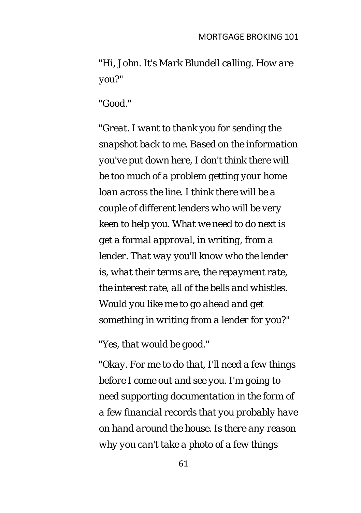*"Hi, John. It's Mark Blundell calling. How are you?"* 

*"Good."* 

*"Great. I want to thank you for sending the snapshot back to me. Based on the information you've put down here, I don't think there will be too much of a problem getting your home loan across the line. I think there will be a couple of different lenders who will be very keen to help you. What we need to do next is get a formal approval, in writing, from a lender. That way you'll know who the lender is, what their terms are, the repayment rate, the interest rate, all of the bells and whistles. Would you like me to go ahead and get something in writing from a lender for you?"* 

*"Yes, that would be good."* 

*"Okay. For me to do that, I'll need a few things before I come out and see you. I'm going to need supporting documentation in the form of a few financial records that you probably have on hand around the house. Is there any reason why you can't take a photo of a few things*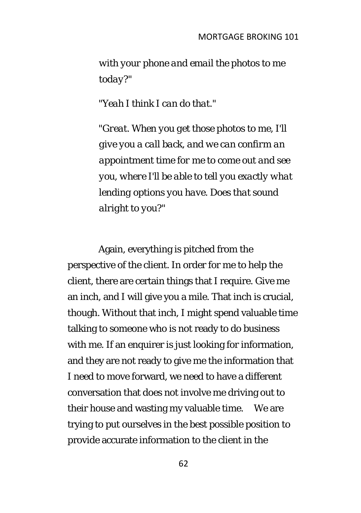*with your phone and email the photos to me today?"* 

*"Yeah I think I can do that."* 

*"Great. When you get those photos to me, I'll give you a call back, and we can confirm an appointment time for me to come out and see you, where I'll be able to tell you exactly what lending options you have. Does that sound alright to you?"* 

Again, everything is pitched from the perspective of the client. In order for me to help the client, there are certain things that I require. Give me an inch, and I will give you a mile. That inch is crucial, though. Without that inch, I might spend valuable time talking to someone who is not ready to do business with me. If an enquirer is just looking for information, and they are not ready to give me the information that I need to move forward, we need to have a different conversation that does not involve me driving out to their house and wasting my valuable time. We are trying to put ourselves in the best possible position to provide accurate information to the client in the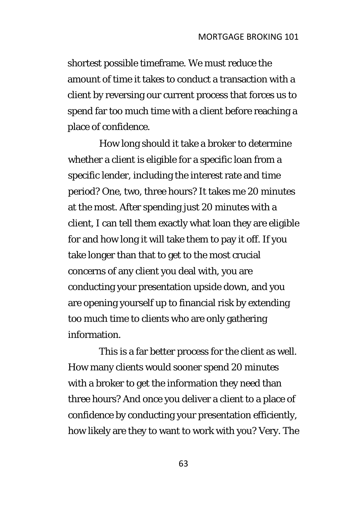shortest possible timeframe. We must reduce the amount of time it takes to conduct a transaction with a client by reversing our current process that forces us to spend far too much time with a client before reaching a place of confidence.

How long should it take a broker to determine whether a client is eligible for a specific loan from a specific lender, including the interest rate and time period? One, two, three hours? It takes me 20 minutes at the most. After spending just 20 minutes with a client, I can tell them exactly what loan they are eligible for and how long it will take them to pay it off. If you take longer than that to get to the most crucial concerns of any client you deal with, you are conducting your presentation upside down, and you are opening yourself up to financial risk by extending too much time to clients who are only gathering information.

This is a far better process for the client as well. How many clients would sooner spend 20 minutes with a broker to get the information they need than three hours? And once you deliver a client to a place of confidence by conducting your presentation efficiently, how likely are they to want to work with you? Very. The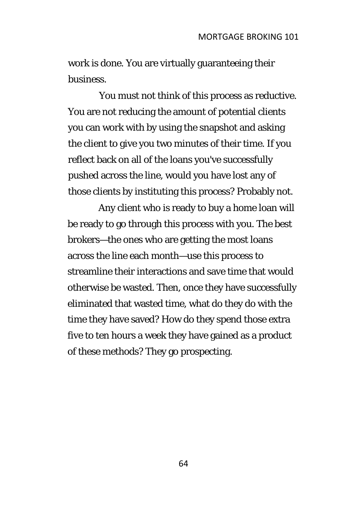work is done. You are virtually guaranteeing their business.

You must not think of this process as reductive. You are not reducing the amount of potential clients you can work with by using the snapshot and asking the client to give you two minutes of their time. If you reflect back on all of the loans you've successfully pushed across the line, would you have lost any of those clients by instituting this process? Probably not.

Any client who is ready to buy a home loan will be ready to go through this process with you. The best brokers—the ones who are getting the most loans across the line each month—use this process to streamline their interactions and save time that would otherwise be wasted. Then, once they have successfully eliminated that wasted time, what do they do with the time they have saved? How do they spend those extra five to ten hours a week they have gained as a product of these methods? They go prospecting.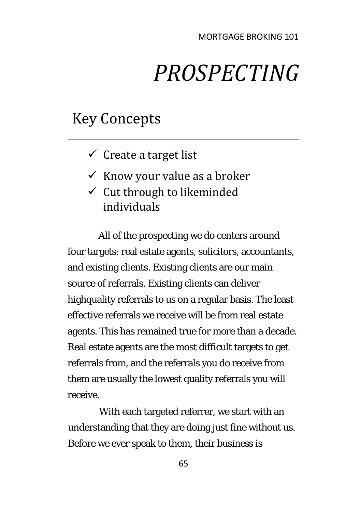## *PROSPECTING*

### Key Concepts

- $\checkmark$  Create a target list
- $\checkmark$  Know your value as a broker
- $\checkmark$  Cut through to likeminded individuals

All of the prospecting we do centers around four targets: real estate agents, solicitors, accountants, and existing clients. Existing clients are our main source of referrals. Existing clients can deliver highquality referrals to us on a regular basis. The least effective referrals we receive will be from real estate agents. This has remained true for more than a decade. Real estate agents are the most difficult targets to get referrals from, and the referrals you do receive from them are usually the lowest quality referrals you will receive.

With each targeted referrer, we start with an understanding that they are doing just fine without us. Before we ever speak to them, their business is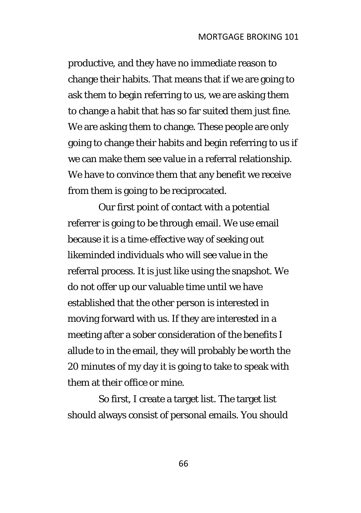productive, and they have no immediate reason to change their habits. That means that if we are going to ask them to begin referring to us, we are asking them to change a habit that has so far suited them just fine. We are asking them to change. These people are only going to change their habits and begin referring to us if we can make them see value in a referral relationship. We have to convince them that any benefit we receive from them is going to be reciprocated.

Our first point of contact with a potential referrer is going to be through email. We use email because it is a time-effective way of seeking out likeminded individuals who will see value in the referral process. It is just like using the snapshot. We do not offer up our valuable time until we have established that the other person is interested in moving forward with us. If they are interested in a meeting after a sober consideration of the benefits I allude to in the email, they will probably be worth the 20 minutes of my day it is going to take to speak with them at their office or mine.

So first, I create a target list. The target list should always consist of personal emails. You should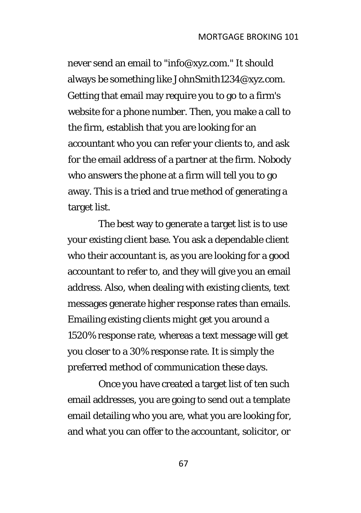never send an email to "info@xyz.com." It should always be something like JohnSmith1234@xyz.com. Getting that email may require you to go to a firm's website for a phone number. Then, you make a call to the firm, establish that you are looking for an accountant who you can refer your clients to, and ask for the email address of a partner at the firm. Nobody who answers the phone at a firm will tell you to go away. This is a tried and true method of generating a target list.

The best way to generate a target list is to use your existing client base. You ask a dependable client who their accountant is, as you are looking for a good accountant to refer to, and they will give you an email address. Also, when dealing with existing clients, text messages generate higher response rates than emails. Emailing existing clients might get you around a 1520% response rate, whereas a text message will get you closer to a 30% response rate. It is simply the preferred method of communication these days.

Once you have created a target list of ten such email addresses, you are going to send out a template email detailing who you are, what you are looking for, and what you can offer to the accountant, solicitor, or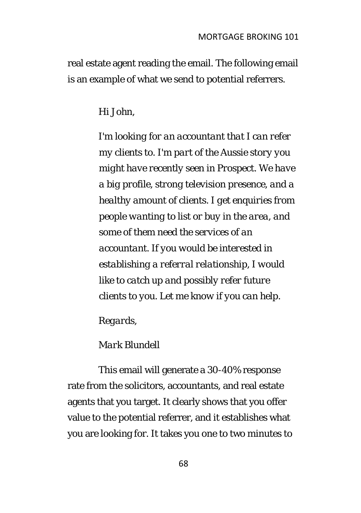real estate agent reading the email. The following email is an example of what we send to potential referrers.

#### *Hi John,*

*I'm looking for an accountant that I can refer my clients to. I'm part of the Aussie story you might have recently seen in Prospect. We have a big profile, strong television presence, and a healthy amount of clients. I get enquiries from people wanting to list or buy in the area, and some of them need the services of an accountant. If you would be interested in establishing a referral relationship, I would like to catch up and possibly refer future clients to you. Let me know if you can help.* 

*Regards,* 

#### *Mark Blundell*

This email will generate a 30-40% response rate from the solicitors, accountants, and real estate agents that you target. It clearly shows that you offer value to the potential referrer, and it establishes what you are looking for. It takes you one to two minutes to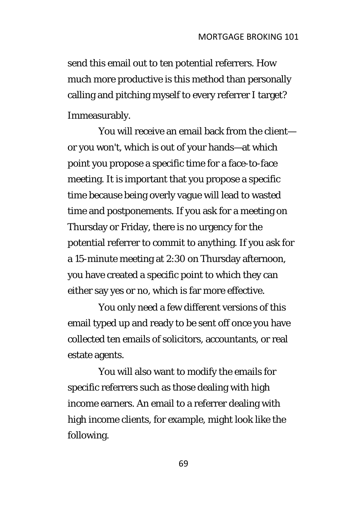send this email out to ten potential referrers. How much more productive is this method than personally calling and pitching myself to every referrer I target? Immeasurably.

You will receive an email back from the client or you won't, which is out of your hands—at which point you propose a specific time for a face-to-face meeting. It is important that you propose a specific time because being overly vague will lead to wasted time and postponements. If you ask for a meeting on Thursday or Friday, there is no urgency for the potential referrer to commit to anything. If you ask for a 15-minute meeting at 2:30 on Thursday afternoon, you have created a specific point to which they can either say yes or no, which is far more effective.

You only need a few different versions of this email typed up and ready to be sent off once you have collected ten emails of solicitors, accountants, or real estate agents.

You will also want to modify the emails for specific referrers such as those dealing with high income earners. An email to a referrer dealing with high income clients, for example, might look like the following.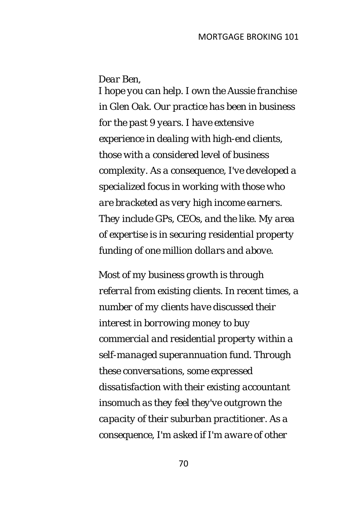*Dear Ben,* 

*I hope you can help. I own the Aussie franchise in Glen Oak. Our practice has been in business for the past 9 years. I have extensive experience in dealing with high-end clients, those with a considered level of business complexity. As a consequence, I've developed a specialized focus in working with those who are bracketed as very high income earners. They include GPs, CEOs, and the like. My area of expertise is in securing residential property funding of one million dollars and above.* 

*Most of my business growth is through referral from existing clients. In recent times, a number of my clients have discussed their interest in borrowing money to buy commercial and residential property within a self-managed superannuation fund. Through these conversations, some expressed dissatisfaction with their existing accountant insomuch as they feel they've outgrown the capacity of their suburban practitioner. As a consequence, I'm asked if I'm aware of other*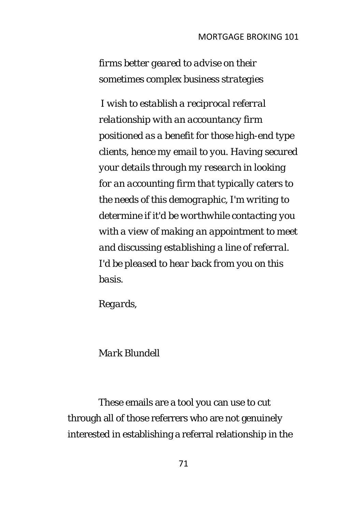*firms better geared to advise on their sometimes complex business strategies* 

*I wish to establish a reciprocal referral relationship with an accountancy firm positioned as a benefit for those high-end type clients, hence my email to you. Having secured your details through my research in looking for an accounting firm that typically caters to the needs of this demographic, I'm writing to determine if it'd be worthwhile contacting you with a view of making an appointment to meet and discussing establishing a line of referral. I'd be pleased to hear back from you on this basis.* 

*Regards,* 

### *Mark Blundell*

These emails are a tool you can use to cut through all of those referrers who are not genuinely interested in establishing a referral relationship in the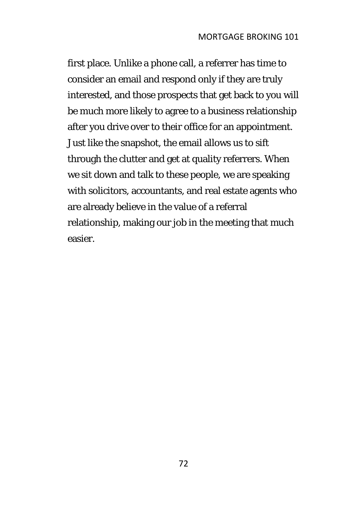first place. Unlike a phone call, a referrer has time to consider an email and respond only if they are truly interested, and those prospects that get back to you will be much more likely to agree to a business relationship after you drive over to their office for an appointment. Just like the snapshot, the email allows us to sift through the clutter and get at quality referrers. When we sit down and talk to these people, we are speaking with solicitors, accountants, and real estate agents who are already believe in the value of a referral relationship, making our job in the meeting that much easier.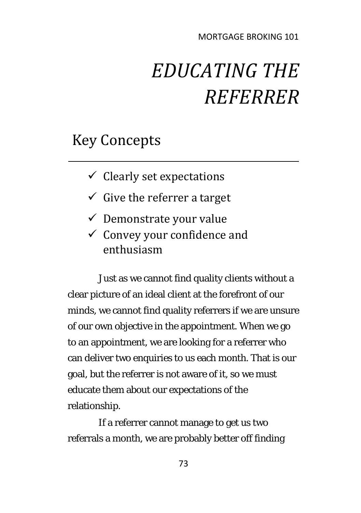## *EDUCATING THE REFERRER*

## Key Concepts

- $\checkmark$  Clearly set expectations
- $\checkmark$  Give the referrer a target
- $\checkmark$  Demonstrate your value
- $\checkmark$  Convey your confidence and enthusiasm

Just as we cannot find quality clients without a clear picture of an ideal client at the forefront of our minds, we cannot find quality referrers if we are unsure of our own objective in the appointment. When we go to an appointment, we are looking for a referrer who can deliver two enquiries to us each month. That is our goal, but the referrer is not aware of it, so we must educate them about our expectations of the relationship.

If a referrer cannot manage to get us two referrals a month, we are probably better off finding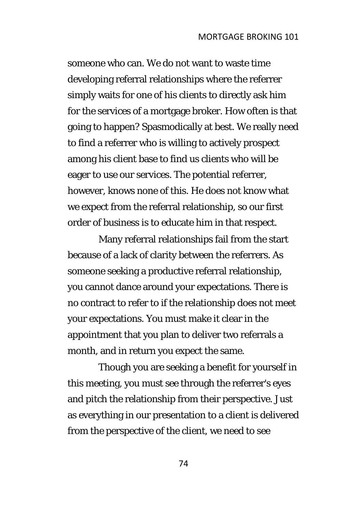someone who can. We do not want to waste time developing referral relationships where the referrer simply waits for one of his clients to directly ask him for the services of a mortgage broker. How often is that going to happen? Spasmodically at best. We really need to find a referrer who is willing to actively prospect among his client base to find us clients who will be eager to use our services. The potential referrer, however, knows none of this. He does not know what we expect from the referral relationship, so our first order of business is to educate him in that respect.

Many referral relationships fail from the start because of a lack of clarity between the referrers. As someone seeking a productive referral relationship, you cannot dance around your expectations. There is no contract to refer to if the relationship does not meet your expectations. You must make it clear in the appointment that you plan to deliver two referrals a month, and in return you expect the same.

Though you are seeking a benefit for yourself in this meeting, you must see through the referrer's eyes and pitch the relationship from their perspective. Just as everything in our presentation to a client is delivered from the perspective of the client, we need to see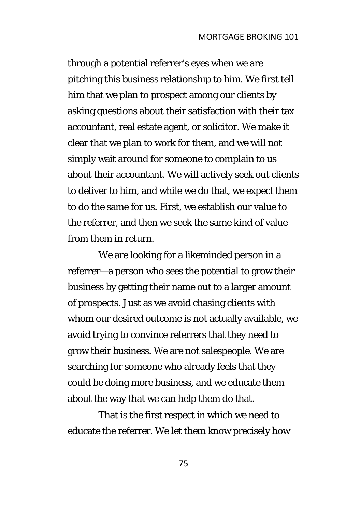through a potential referrer's eyes when we are pitching this business relationship to him. We first tell him that we plan to prospect among our clients by asking questions about their satisfaction with their tax accountant, real estate agent, or solicitor. We make it clear that we plan to work for them, and we will not simply wait around for someone to complain to us about their accountant. We will actively seek out clients to deliver to him, and while we do that, we expect them to do the same for us. First, we establish our value to the referrer, and then we seek the same kind of value from them in return.

We are looking for a likeminded person in a referrer—a person who sees the potential to grow their business by getting their name out to a larger amount of prospects. Just as we avoid chasing clients with whom our desired outcome is not actually available, we avoid trying to convince referrers that they need to grow their business. We are not salespeople. We are searching for someone who already feels that they could be doing more business, and we educate them about the way that we can help them do that.

That is the first respect in which we need to educate the referrer. We let them know precisely how

75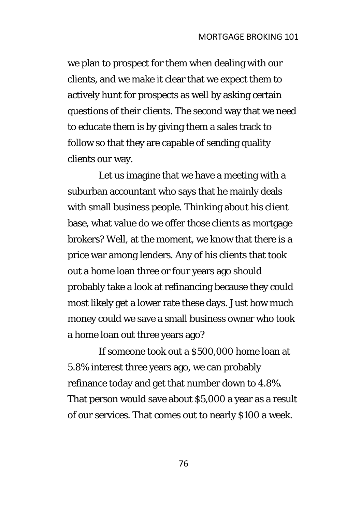we plan to prospect for them when dealing with our clients, and we make it clear that we expect them to actively hunt for prospects as well by asking certain questions of their clients. The second way that we need to educate them is by giving them a sales track to follow so that they are capable of sending quality clients our way.

Let us imagine that we have a meeting with a suburban accountant who says that he mainly deals with small business people. Thinking about his client base, what value do we offer those clients as mortgage brokers? Well, at the moment, we know that there is a price war among lenders. Any of his clients that took out a home loan three or four years ago should probably take a look at refinancing because they could most likely get a lower rate these days. Just how much money could we save a small business owner who took a home loan out three years ago?

If someone took out a \$500,000 home loan at 5.8% interest three years ago, we can probably refinance today and get that number down to 4.8%. That person would save about \$5,000 a year as a result of our services. That comes out to nearly \$100 a week.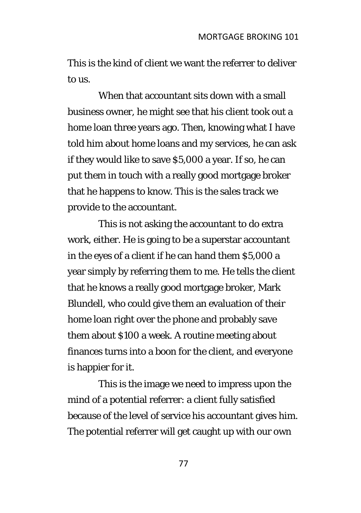This is the kind of client we want the referrer to deliver to us.

When that accountant sits down with a small business owner, he might see that his client took out a home loan three years ago. Then, knowing what I have told him about home loans and my services, he can ask if they would like to save \$5,000 a year. If so, he can put them in touch with a really good mortgage broker that he happens to know. This is the sales track we provide to the accountant.

This is not asking the accountant to do extra work, either. He is going to be a superstar accountant in the eyes of a client if he can hand them \$5,000 a year simply by referring them to me. He tells the client that he knows a really good mortgage broker, Mark Blundell, who could give them an evaluation of their home loan right over the phone and probably save them about \$100 a week. A routine meeting about finances turns into a boon for the client, and everyone is happier for it.

This is the image we need to impress upon the mind of a potential referrer: a client fully satisfied because of the level of service his accountant gives him. The potential referrer will get caught up with our own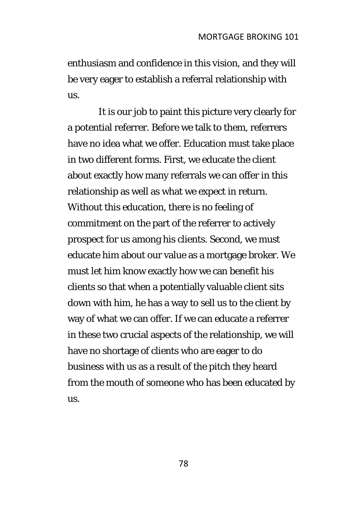enthusiasm and confidence in this vision, and they will be very eager to establish a referral relationship with us.

It is our job to paint this picture very clearly for a potential referrer. Before we talk to them, referrers have no idea what we offer. Education must take place in two different forms. First, we educate the client about exactly how many referrals we can offer in this relationship as well as what we expect in return. Without this education, there is no feeling of commitment on the part of the referrer to actively prospect for us among his clients. Second, we must educate him about our value as a mortgage broker. We must let him know exactly how we can benefit his clients so that when a potentially valuable client sits down with him, he has a way to sell us to the client by way of what we can offer. If we can educate a referrer in these two crucial aspects of the relationship, we will have no shortage of clients who are eager to do business with us as a result of the pitch they heard from the mouth of someone who has been educated by us.

78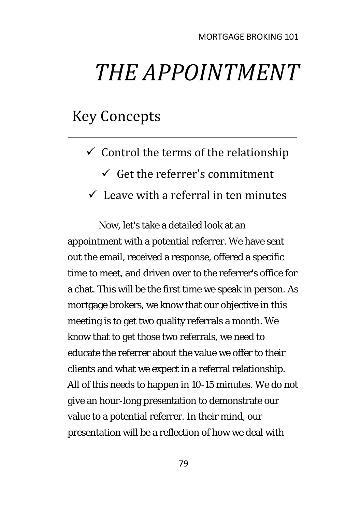# *THE APPOINTMENT*

## Key Concepts

- $\checkmark$  Control the terms of the relationship
	- $\checkmark$  Get the referrer's commitment
- $\checkmark$  Leave with a referral in ten minutes

Now, let's take a detailed look at an appointment with a potential referrer. We have sent out the email, received a response, offered a specific time to meet, and driven over to the referrer's office for a chat. This will be the first time we speak in person. As mortgage brokers, we know that our objective in this meeting is to get two quality referrals a month. We know that to get those two referrals, we need to educate the referrer about the value we offer to their clients and what we expect in a referral relationship. All of this needs to happen in 10-15 minutes. We do not give an hour-long presentation to demonstrate our value to a potential referrer. In their mind, our presentation will be a reflection of how we deal with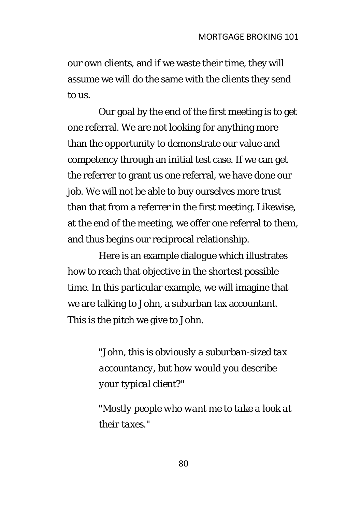our own clients, and if we waste their time, they will assume we will do the same with the clients they send to us.

Our goal by the end of the first meeting is to get one referral. We are not looking for anything more than the opportunity to demonstrate our value and competency through an initial test case. If we can get the referrer to grant us one referral, we have done our job. We will not be able to buy ourselves more trust than that from a referrer in the first meeting. Likewise, at the end of the meeting, we offer one referral to them, and thus begins our reciprocal relationship.

Here is an example dialogue which illustrates how to reach that objective in the shortest possible time. In this particular example, we will imagine that we are talking to John, a suburban tax accountant. This is the pitch we give to John.

> *"John, this is obviously a suburban-sized tax accountancy, but how would you describe your typical client?"*

*"Mostly people who want me to take a look at their taxes."*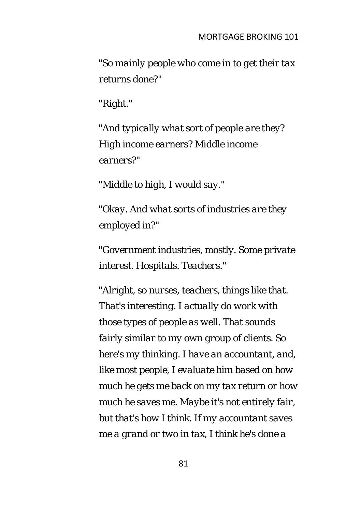*"So mainly people who come in to get their tax returns done?"* 

*"Right."* 

*"And typically what sort of people are they? High income earners? Middle income earners?"* 

*"Middle to high, I would say."* 

*"Okay. And what sorts of industries are they employed in?"* 

*"Government industries, mostly. Some private interest. Hospitals. Teachers."* 

*"Alright, so nurses, teachers, things like that. That's interesting. I actually do work with those types of people as well. That sounds fairly similar to my own group of clients. So here's my thinking. I have an accountant, and, like most people, I evaluate him based on how much he gets me back on my tax return or how much he saves me. Maybe it's not entirely fair, but that's how I think. If my accountant saves me a grand or two in tax, I think he's done a*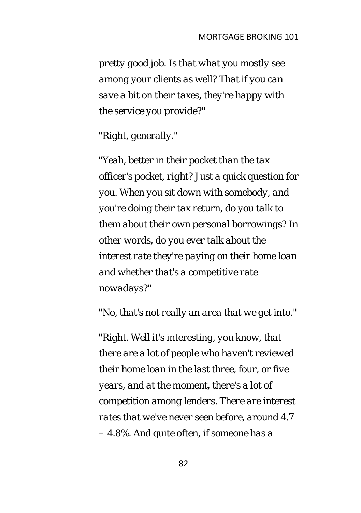*pretty good job. Is that what you mostly see among your clients as well? That if you can save a bit on their taxes, they're happy with the service you provide?"* 

*"Right, generally."* 

*"Yeah, better in their pocket than the tax officer's pocket, right? Just a quick question for you. When you sit down with somebody, and you're doing their tax return, do you talk to them about their own personal borrowings? In other words, do you ever talk about the interest rate they're paying on their home loan and whether that's a competitive rate nowadays?"* 

*"No, that's not really an area that we get into."* 

*"Right. Well it's interesting, you know, that there are a lot of people who haven't reviewed their home loan in the last three, four, or five years, and at the moment, there's a lot of competition among lenders. There are interest rates that we've never seen before, around 4.7 – 4.8%. And quite often, if someone has a*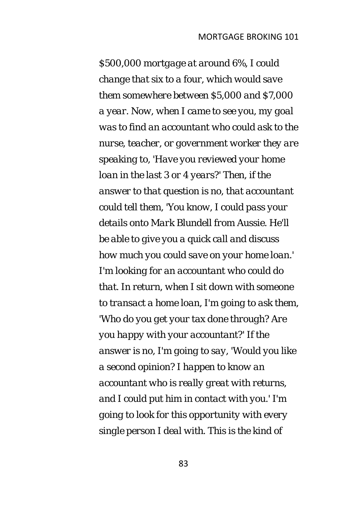*\$500,000 mortgage at around 6%, I could change that six to a four, which would save them somewhere between \$5,000 and \$7,000 a year. Now, when I came to see you, my goal was to find an accountant who could ask to the nurse, teacher, or government worker they are speaking to, 'Have you reviewed your home loan in the last 3 or 4 years?' Then, if the answer to that question is no, that accountant could tell them, 'You know, I could pass your details onto Mark Blundell from Aussie. He'll be able to give you a quick call and discuss how much you could save on your home loan.' I'm looking for an accountant who could do that. In return, when I sit down with someone to transact a home loan, I'm going to ask them, 'Who do you get your tax done through? Are you happy with your accountant?' If the answer is no, I'm going to say, 'Would you like a second opinion? I happen to know an accountant who is really great with returns, and I could put him in contact with you.' I'm going to look for this opportunity with every single person I deal with. This is the kind of*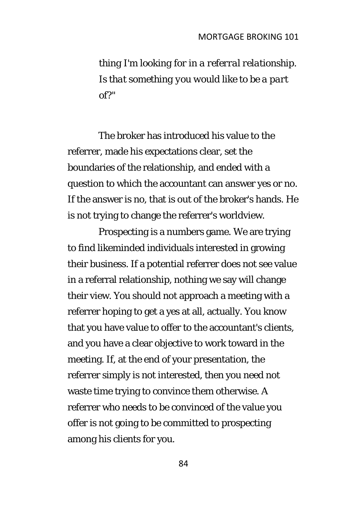*thing I'm looking for in a referral relationship. Is that something you would like to be a part of?"* 

The broker has introduced his value to the referrer, made his expectations clear, set the boundaries of the relationship, and ended with a question to which the accountant can answer yes or no. If the answer is no, that is out of the broker's hands. He is not trying to change the referrer's worldview.

Prospecting is a numbers game. We are trying to find likeminded individuals interested in growing their business. If a potential referrer does not see value in a referral relationship, nothing we say will change their view. You should not approach a meeting with a referrer hoping to get a yes at all, actually. You know that you have value to offer to the accountant's clients, and you have a clear objective to work toward in the meeting. If, at the end of your presentation, the referrer simply is not interested, then you need not waste time trying to convince them otherwise. A referrer who needs to be convinced of the value you offer is not going to be committed to prospecting among his clients for you.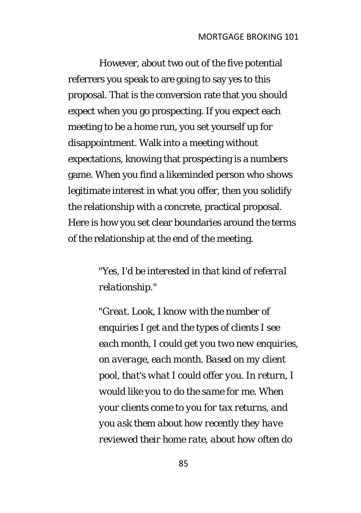However, about two out of the five potential referrers you speak to are going to say yes to this proposal. That is the conversion rate that you should expect when you go prospecting. If you expect each meeting to be a home run, you set yourself up for disappointment. Walk into a meeting without expectations, knowing that prospecting is a numbers game. When you find a likeminded person who shows legitimate interest in what you offer, then you solidify the relationship with a concrete, practical proposal. Here is how you set clear boundaries around the terms of the relationship at the end of the meeting.

### *"Yes, I'd be interested in that kind of referral relationship."*

*"Great. Look, I know with the number of enquiries I get and the types of clients I see each month, I could get you two new enquiries, on average, each month. Based on my client pool, that's what I could offer you. In return, I would like you to do the same for me. When your clients come to you for tax returns, and you ask them about how recently they have reviewed their home rate, about how often do*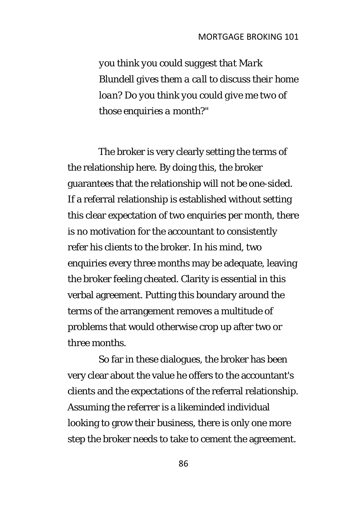#### MORTGAGE BROKING 101

*you think you could suggest that Mark Blundell gives them a call to discuss their home loan? Do you think you could give me two of those enquiries a month?"* 

The broker is very clearly setting the terms of the relationship here. By doing this, the broker guarantees that the relationship will not be one-sided. If a referral relationship is established without setting this clear expectation of two enquiries per month, there is no motivation for the accountant to consistently refer his clients to the broker. In his mind, two enquiries every three months may be adequate, leaving the broker feeling cheated. Clarity is essential in this verbal agreement. Putting this boundary around the terms of the arrangement removes a multitude of problems that would otherwise crop up after two or three months.

So far in these dialogues, the broker has been very clear about the value he offers to the accountant's clients and the expectations of the referral relationship. Assuming the referrer is a likeminded individual looking to grow their business, there is only one more step the broker needs to take to cement the agreement.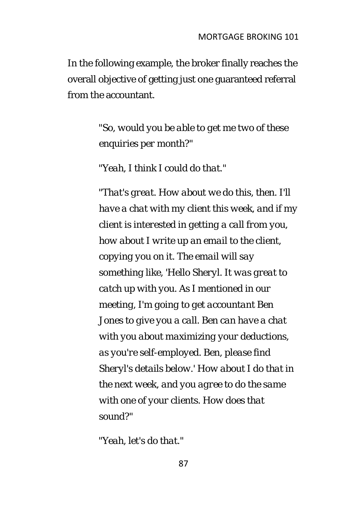In the following example, the broker finally reaches the overall objective of getting just one guaranteed referral from the accountant.

> *"So, would you be able to get me two of these enquiries per month?"*

*"Yeah, I think I could do that."* 

*"That's great. How about we do this, then. I'll have a chat with my client this week, and if my client is interested in getting a call from you, how about I write up an email to the client, copying you on it. The email will say something like, 'Hello Sheryl. It was great to catch up with you. As I mentioned in our meeting, I'm going to get accountant Ben Jones to give you a call. Ben can have a chat with you about maximizing your deductions, as you're self-employed. Ben, please find Sheryl's details below.' How about I do that in the next week, and you agree to do the same with one of your clients. How does that sound?"* 

*"Yeah, let's do that."*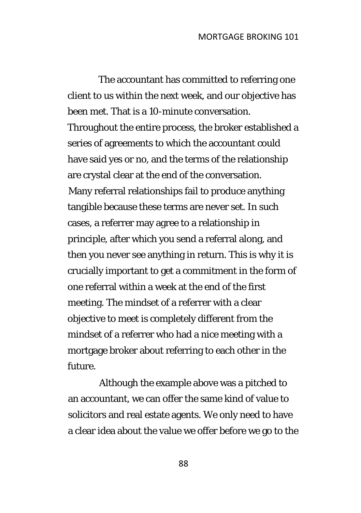The accountant has committed to referring one client to us within the next week, and our objective has been met. That is a 10-minute conversation. Throughout the entire process, the broker established a series of agreements to which the accountant could have said yes or no, and the terms of the relationship are crystal clear at the end of the conversation. Many referral relationships fail to produce anything tangible because these terms are never set. In such cases, a referrer may agree to a relationship in principle, after which you send a referral along, and then you never see anything in return. This is why it is crucially important to get a commitment in the form of one referral within a week at the end of the first meeting. The mindset of a referrer with a clear objective to meet is completely different from the mindset of a referrer who had a nice meeting with a mortgage broker about referring to each other in the future.

Although the example above was a pitched to an accountant, we can offer the same kind of value to solicitors and real estate agents. We only need to have a clear idea about the value we offer before we go to the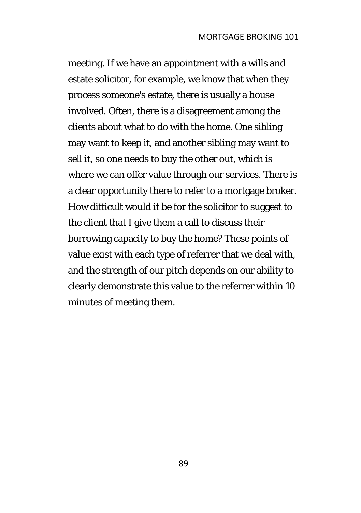meeting. If we have an appointment with a wills and estate solicitor, for example, we know that when they process someone's estate, there is usually a house involved. Often, there is a disagreement among the clients about what to do with the home. One sibling may want to keep it, and another sibling may want to sell it, so one needs to buy the other out, which is where we can offer value through our services. There is a clear opportunity there to refer to a mortgage broker. How difficult would it be for the solicitor to suggest to the client that I give them a call to discuss their borrowing capacity to buy the home? These points of value exist with each type of referrer that we deal with, and the strength of our pitch depends on our ability to clearly demonstrate this value to the referrer within 10 minutes of meeting them.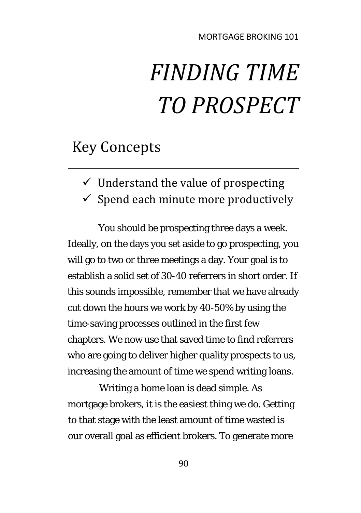# *FINDING TIME TO PROSPECT*

## Key Concepts

- $\checkmark$  Understand the value of prospecting
- $\checkmark$  Spend each minute more productively

You should be prospecting three days a week. Ideally, on the days you set aside to go prospecting, you will go to two or three meetings a day. Your goal is to establish a solid set of 30-40 referrers in short order. If this sounds impossible, remember that we have already cut down the hours we work by 40-50% by using the time-saving processes outlined in the first few chapters. We now use that saved time to find referrers who are going to deliver higher quality prospects to us, increasing the amount of time we spend writing loans.

Writing a home loan is dead simple. As mortgage brokers, it is the easiest thing we do. Getting to that stage with the least amount of time wasted is our overall goal as efficient brokers. To generate more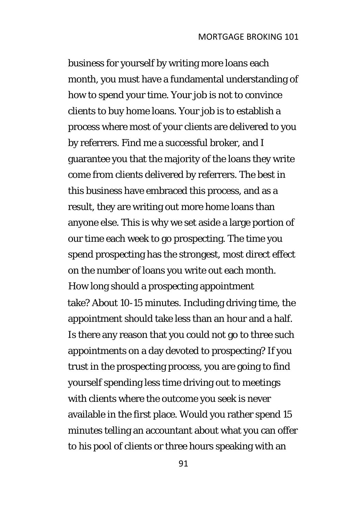business for yourself by writing more loans each month, you must have a fundamental understanding of how to spend your time. Your job is not to convince clients to buy home loans. Your job is to establish a process where most of your clients are delivered to you by referrers. Find me a successful broker, and I guarantee you that the majority of the loans they write come from clients delivered by referrers. The best in this business have embraced this process, and as a result, they are writing out more home loans than anyone else. This is why we set aside a large portion of our time each week to go prospecting. The time you spend prospecting has the strongest, most direct effect on the number of loans you write out each month. How long should a prospecting appointment take? About 10-15 minutes. Including driving time, the appointment should take less than an hour and a half. Is there any reason that you could not go to three such appointments on a day devoted to prospecting? If you trust in the prospecting process, you are going to find yourself spending less time driving out to meetings with clients where the outcome you seek is never available in the first place. Would you rather spend 15 minutes telling an accountant about what you can offer to his pool of clients or three hours speaking with an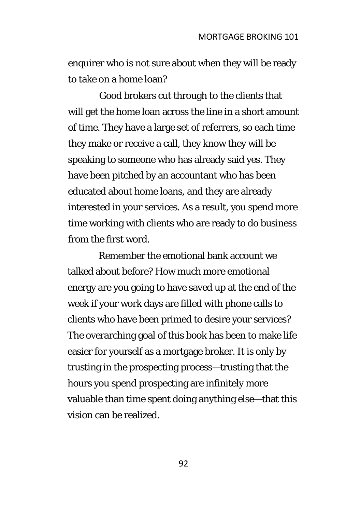enquirer who is not sure about when they will be ready to take on a home loan?

Good brokers cut through to the clients that will get the home loan across the line in a short amount of time. They have a large set of referrers, so each time they make or receive a call, they know they will be speaking to someone who has already said yes. They have been pitched by an accountant who has been educated about home loans, and they are already interested in your services. As a result, you spend more time working with clients who are ready to do business from the first word.

Remember the emotional bank account we talked about before? How much more emotional energy are you going to have saved up at the end of the week if your work days are filled with phone calls to clients who have been primed to desire your services? The overarching goal of this book has been to make life easier for yourself as a mortgage broker. It is only by trusting in the prospecting process—trusting that the hours you spend prospecting are infinitely more valuable than time spent doing anything else—that this vision can be realized.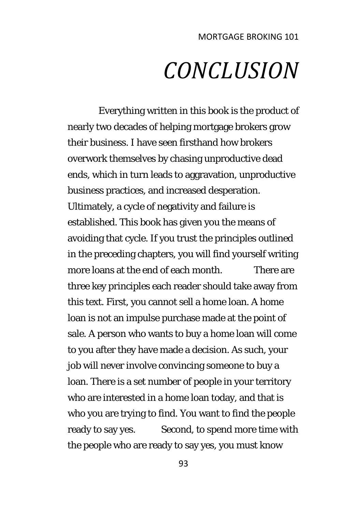# *CONCLUSION*

Everything written in this book is the product of nearly two decades of helping mortgage brokers grow their business. I have seen firsthand how brokers overwork themselves by chasing unproductive dead ends, which in turn leads to aggravation, unproductive business practices, and increased desperation. Ultimately, a cycle of negativity and failure is established. This book has given you the means of avoiding that cycle. If you trust the principles outlined in the preceding chapters, you will find yourself writing more loans at the end of each month. There are three key principles each reader should take away from this text. First, you cannot sell a home loan. A home loan is not an impulse purchase made at the point of sale. A person who wants to buy a home loan will come to you after they have made a decision. As such, your job will never involve convincing someone to buy a loan. There is a set number of people in your territory who are interested in a home loan today, and that is who you are trying to find. You want to find the people ready to say yes. Second, to spend more time with the people who are ready to say yes, you must know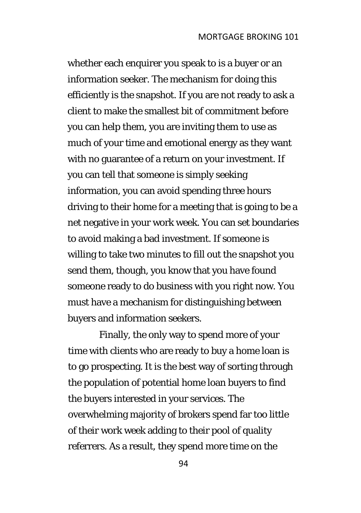whether each enquirer you speak to is a buyer or an information seeker. The mechanism for doing this efficiently is the snapshot. If you are not ready to ask a client to make the smallest bit of commitment before you can help them, you are inviting them to use as much of your time and emotional energy as they want with no guarantee of a return on your investment. If you can tell that someone is simply seeking information, you can avoid spending three hours driving to their home for a meeting that is going to be a net negative in your work week. You can set boundaries to avoid making a bad investment. If someone is willing to take two minutes to fill out the snapshot you send them, though, you know that you have found someone ready to do business with you right now. You must have a mechanism for distinguishing between buyers and information seekers.

Finally, the only way to spend more of your time with clients who are ready to buy a home loan is to go prospecting. It is the best way of sorting through the population of potential home loan buyers to find the buyers interested in your services. The overwhelming majority of brokers spend far too little of their work week adding to their pool of quality referrers. As a result, they spend more time on the